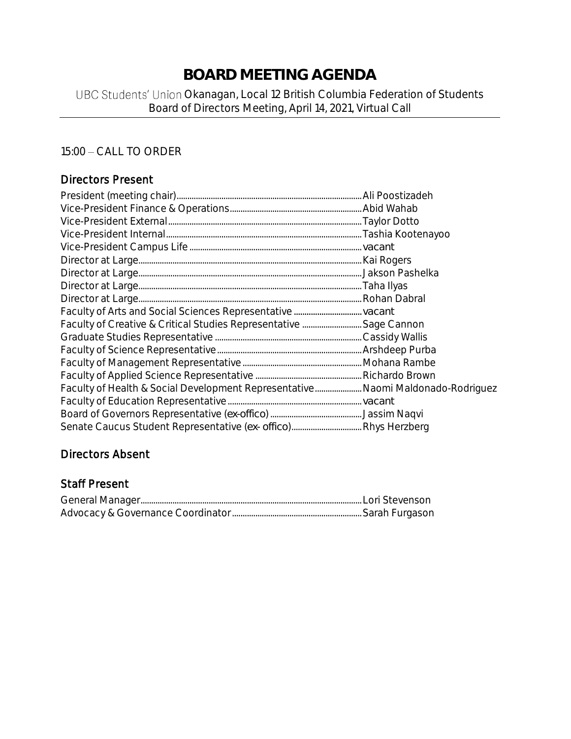# **BOARD MEETING AGENDA**

# UBC Students' Union Okanagan, Local 12 British Columbia Federation of Students Board of Directors Meeting, April 14, 2021, Virtual Call

# 15:00 - CALL TO ORDER

# Directors Present

| Faculty of Health & Social Development Representative Naomi Maldonado-Rodriguez |  |
|---------------------------------------------------------------------------------|--|
|                                                                                 |  |
|                                                                                 |  |
|                                                                                 |  |

# Directors Absent

### Staff Present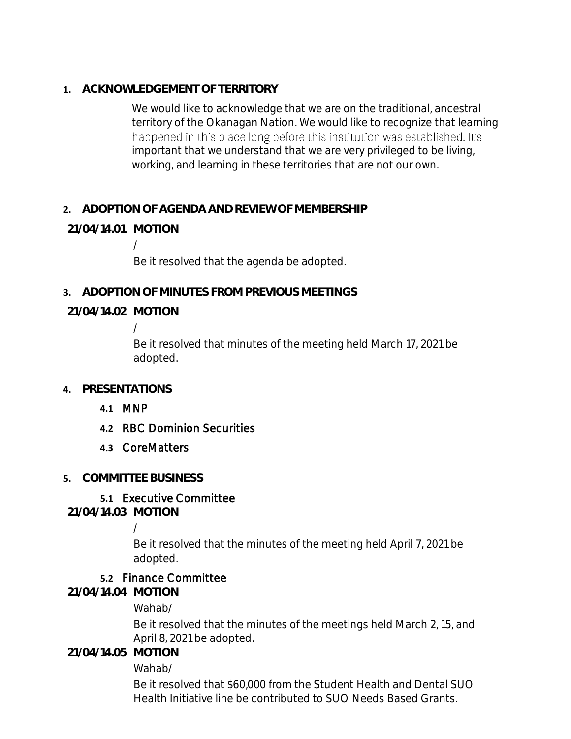**1. ACKNOWLEDGEMENT OF TERRITORY**

We would like to acknowledge that we are on the traditional, ancestral territory of the Okanagan Nation. We would like to recognize that learning happened in this place long before this institution was established. It's important that we understand that we are very privileged to be living, working, and learning in these territories that are not our own.

# **2. ADOPTION OF AGENDA AND REVIEW OF MEMBERSHIP**

# **21/04/14.01 MOTION**

/

Be it resolved that the agenda be adopted.

**3. ADOPTION OF MINUTES FROM PREVIOUS MEETINGS**

## **21/04/14.02 MOTION**

/

Be it resolved that minutes of the meeting held March 17, 2021 be adopted.

### **4. PRESENTATIONS**

- **4.1** MNP
- **4.2** RBC Dominion Securities
- **4.3** CoreMatters

### **5. COMMITTEE BUSINESS**

# **5.1** Executive Committee

**21/04/14.03 MOTION**

/

Be it resolved that the minutes of the meeting held April 7, 2021 be adopted.

### **5.2** Finance Committee

**21/04/14.04 MOTION**

Wahab/

Be it resolved that the minutes of the meetings held March 2, 15, and April 8, 2021 be adopted.

**21/04/14.05 MOTION**

Wahab/

Be it resolved that \$60,000 from the Student Health and Dental SUO Health Initiative line be contributed to SUO Needs Based Grants.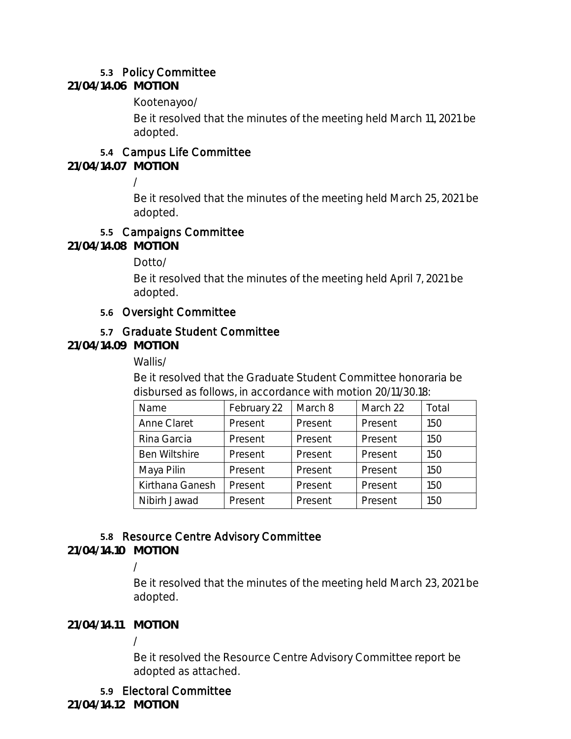# **5.3** Policy Committee

**21/04/14.06 MOTION**

Kootenayoo/

Be it resolved that the minutes of the meeting held March 11, 2021 be adopted.

# **5.4** Campus Life Committee

**21/04/14.07 MOTION**

/

Be it resolved that the minutes of the meeting held March 25, 2021 be adopted.

# **5.5** Campaigns Committee

**21/04/14.08 MOTION**

Dotto/

Be it resolved that the minutes of the meeting held April 7, 2021 be adopted.

# **5.6** Oversight Committee

# **5.7** Graduate Student Committee

**21/04/14.09 MOTION**

Wallis/

Be it resolved that the Graduate Student Committee honoraria be disbursed as follows, in accordance with motion 20/11/30.18:

| Name                 | February 22 | March 8 | March 22 | Total |
|----------------------|-------------|---------|----------|-------|
| Anne Claret          | Present     | Present | Present  | 150   |
| Rina Garcia          | Present     | Present | Present  | 150   |
| <b>Ben Wiltshire</b> | Present     | Present | Present  | 150   |
| Maya Pilin           | Present     | Present | Present  | 150   |
| Kirthana Ganesh      | Present     | Present | Present  | 150   |
| Nibirh Jawad         | Present     | Present | Present  | 150   |

# **5.8** Resource Centre Advisory Committee

**21/04/14.10 MOTION**

/

Be it resolved that the minutes of the meeting held March 23, 2021 be adopted.

**21/04/14.11 MOTION**

/

Be it resolved the Resource Centre Advisory Committee report be adopted as attached.

# **5.9** Electoral Committee

**21/04/14.12 MOTION**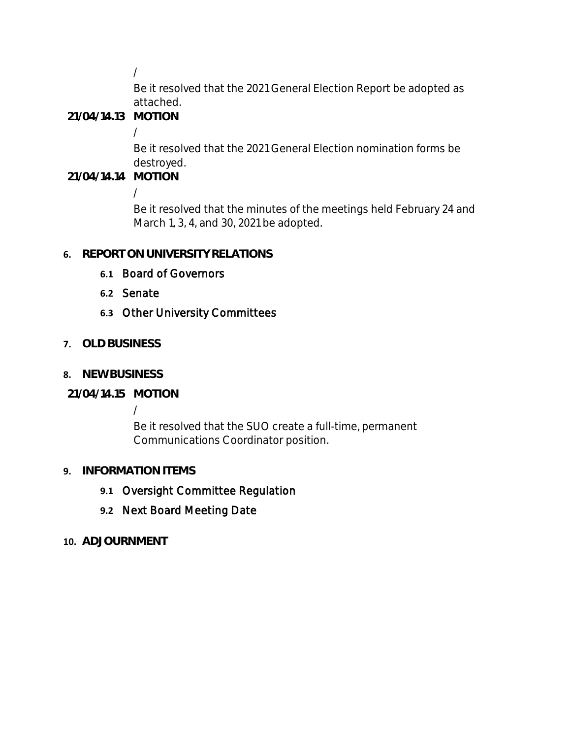/

Be it resolved that the 2021 General Election Report be adopted as attached.

**21/04/14.13 MOTION**

/

Be it resolved that the 2021 General Election nomination forms be destroyed.

**21/04/14.14 MOTION**

/

Be it resolved that the minutes of the meetings held February 24 and March 1, 3, 4, and 30, 2021 be adopted.

# **6. REPORT ON UNIVERSITY RELATIONS**

- **6.1** Board of Governors
- **6.2** Senate

# **6.3** Other University Committees

- **7. OLD BUSINESS**
- **8. NEW BUSINESS**

# **21/04/14.15 MOTION**

/

Be it resolved that the SUO create a full-time, permanent Communications Coordinator position.

# **9. INFORMATION ITEMS**

- **9.1** Oversight Committee Regulation
- **9.2** Next Board Meeting Date
- **10. ADJOURNMENT**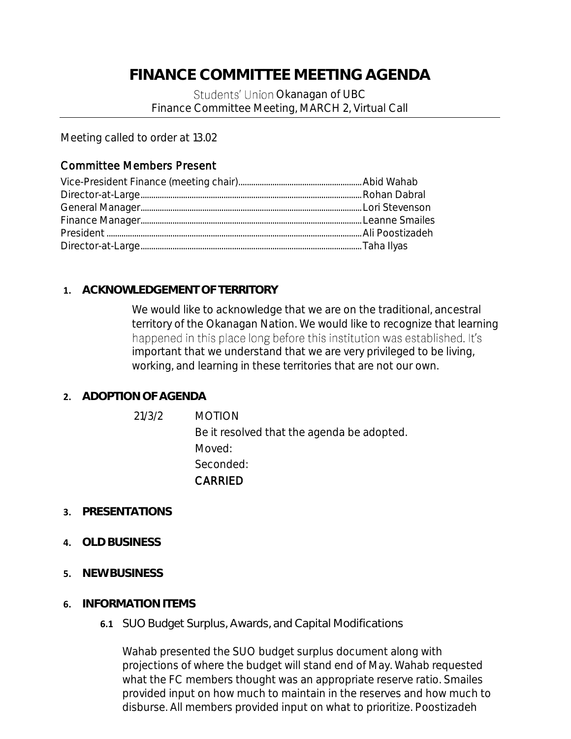# **FINANCE COMMITTEE MEETING AGENDA**

Students' Union Okanagan of UBC Finance Committee Meeting, MARCH 2, Virtual Call

Meeting called to order at 13.02

# Committee Members Present

# **1. ACKNOWLEDGEMENT OF TERRITORY**

We would like to acknowledge that we are on the traditional, ancestral territory of the Okanagan Nation. We would like to recognize that learning happened in this place long before this institution was established. It's important that we understand that we are very privileged to be living, working, and learning in these territories that are not our own.

# **2. ADOPTION OF AGENDA**

21/3/2 MOTION Be it resolved that the agenda be adopted. Moved: Seconded: CARRIED

- **3. PRESENTATIONS**
- **4. OLD BUSINESS**
- **5. NEW BUSINESS**
- **6. INFORMATION ITEMS**
	- **6.1** SUO Budget Surplus, Awards, and Capital Modifications

Wahab presented the SUO budget surplus document along with projections of where the budget will stand end of May. Wahab requested what the FC members thought was an appropriate reserve ratio. Smailes provided input on how much to maintain in the reserves and how much to disburse. All members provided input on what to prioritize. Poostizadeh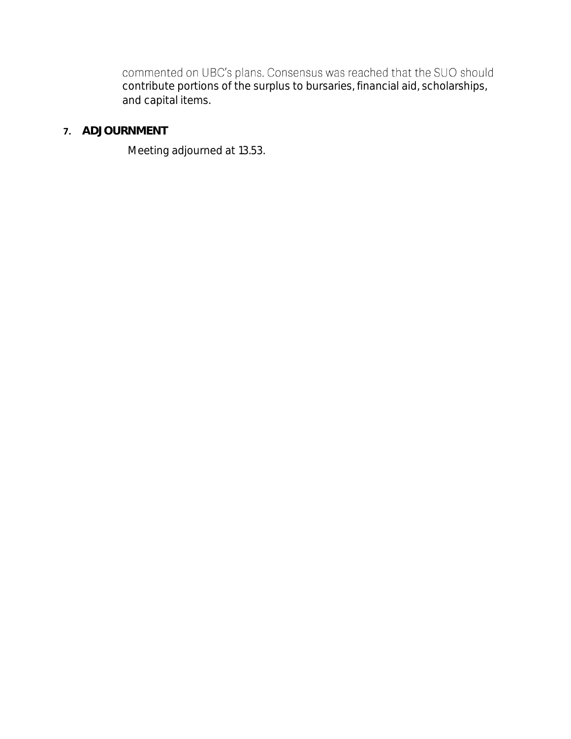commented on UBC's plans. Consensus was reached that the SUO should contribute portions of the surplus to bursaries, financial aid, scholarships, and capital items.

# **7. ADJOURNMENT**

Meeting adjourned at 13.53.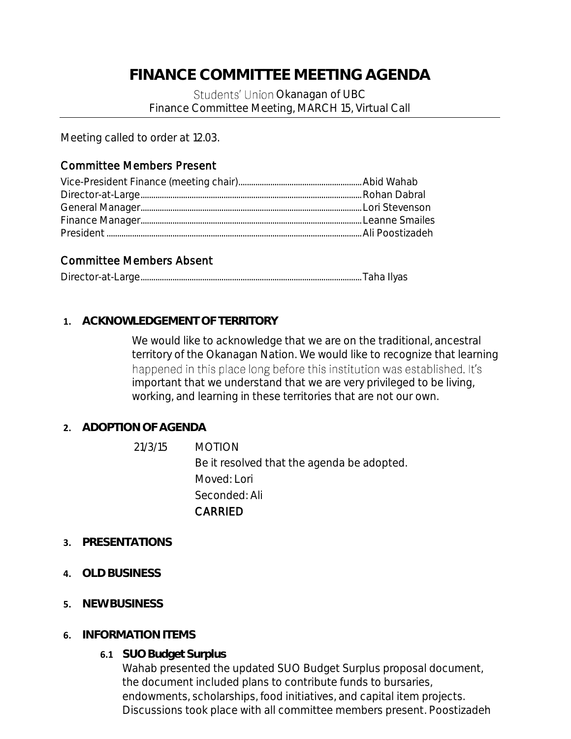# **FINANCE COMMITTEE MEETING AGENDA**

Students' Union Okanagan of UBC Finance Committee Meeting, MARCH 15, Virtual Call

Meeting called to order at 12.03.

# Committee Members Present

## Committee Members Absent

|--|--|--|--|

### **1. ACKNOWLEDGEMENT OF TERRITORY**

We would like to acknowledge that we are on the traditional, ancestral territory of the Okanagan Nation. We would like to recognize that learning happened in this place long before this institution was established. It's important that we understand that we are very privileged to be living, working, and learning in these territories that are not our own.

### **2. ADOPTION OF AGENDA**

- 21/3/15 MOTION Be it resolved that the agenda be adopted. Moved: Lori Seconded: Ali CARRIED
- **3. PRESENTATIONS**
- **4. OLD BUSINESS**
- **5. NEW BUSINESS**
- **6. INFORMATION ITEMS**
	- **6.1 SUO Budget Surplus**

Wahab presented the updated SUO Budget Surplus proposal document, the document included plans to contribute funds to bursaries, endowments, scholarships, food initiatives, and capital item projects. Discussions took place with all committee members present. Poostizadeh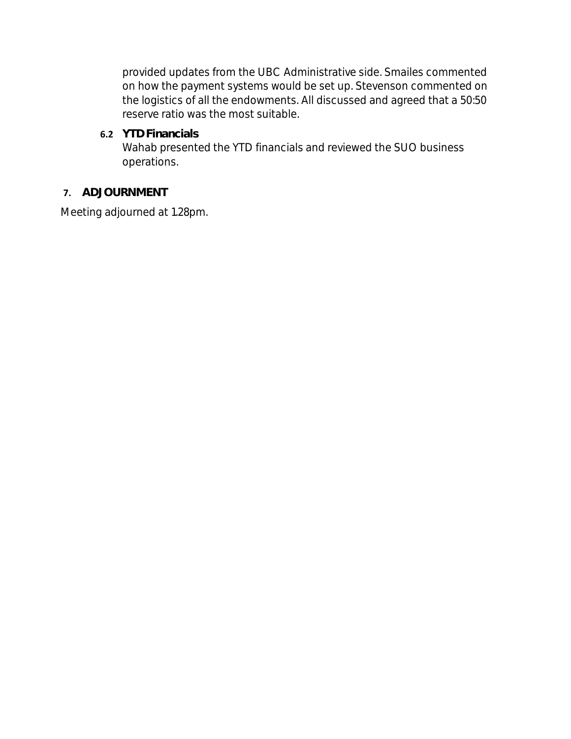provided updates from the UBC Administrative side. Smailes commented on how the payment systems would be set up. Stevenson commented on the logistics of all the endowments. All discussed and agreed that a 50:50 reserve ratio was the most suitable.

**6.2 YTD Financials** Wahab presented the YTD financials and reviewed the SUO business operations.

## **7. ADJOURNMENT**

Meeting adjourned at 1.28pm.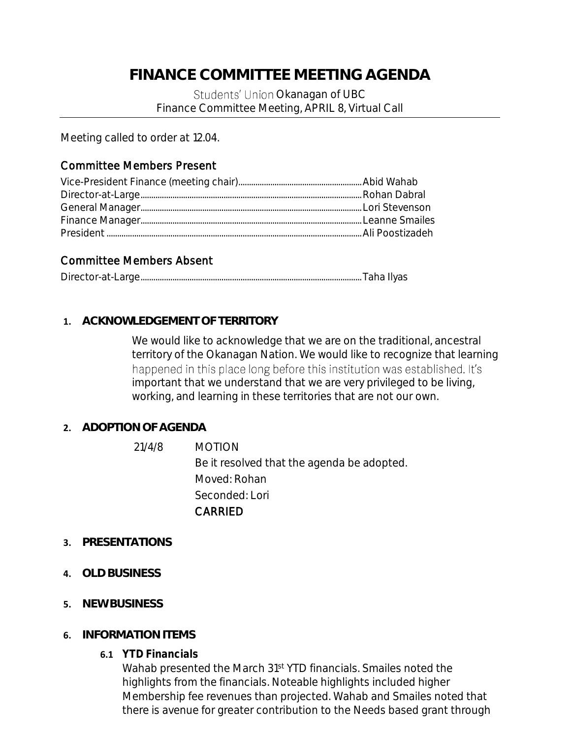# **FINANCE COMMITTEE MEETING AGENDA**

Students' Union Okanagan of UBC Finance Committee Meeting, APRIL 8, Virtual Call

Meeting called to order at 12.04.

## Committee Members Present

## Committee Members Absent

|--|--|--|--|

#### **1. ACKNOWLEDGEMENT OF TERRITORY**

We would like to acknowledge that we are on the traditional, ancestral territory of the Okanagan Nation. We would like to recognize that learning happened in this place long before this institution was established. It's important that we understand that we are very privileged to be living, working, and learning in these territories that are not our own.

#### **2. ADOPTION OF AGENDA**

- 21/4/8 MOTION Be it resolved that the agenda be adopted. Moved: Rohan Seconded: Lori CARRIED
- **3. PRESENTATIONS**
- **4. OLD BUSINESS**
- **5. NEW BUSINESS**
- **6. INFORMATION ITEMS**
	- **6.1 YTD Financials**

Wahab presented the March 31st YTD financials. Smailes noted the highlights from the financials. Noteable highlights included higher Membership fee revenues than projected. Wahab and Smailes noted that there is avenue for greater contribution to the Needs based grant through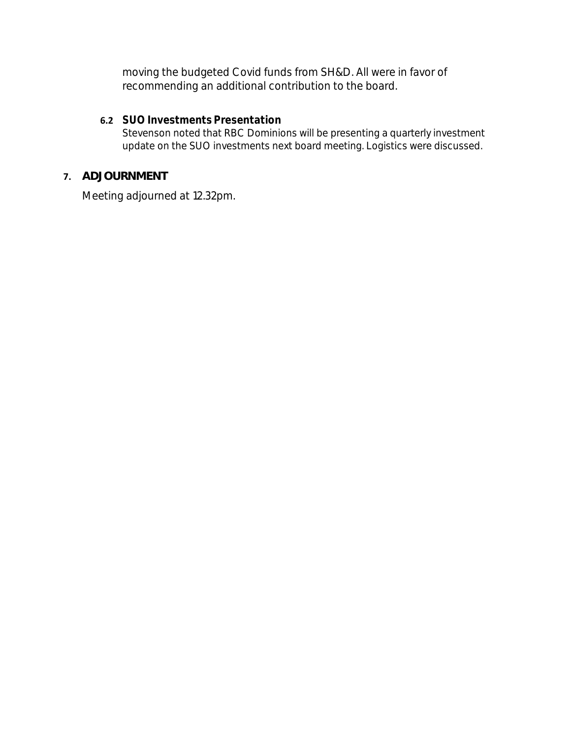moving the budgeted Covid funds from SH&D. All were in favor of recommending an additional contribution to the board.

## **6.2 SUO Investments Presentation**

Stevenson noted that RBC Dominions will be presenting a quarterly investment update on the SUO investments next board meeting. Logistics were discussed.

# **7. ADJOURNMENT**

Meeting adjourned at 12.32pm.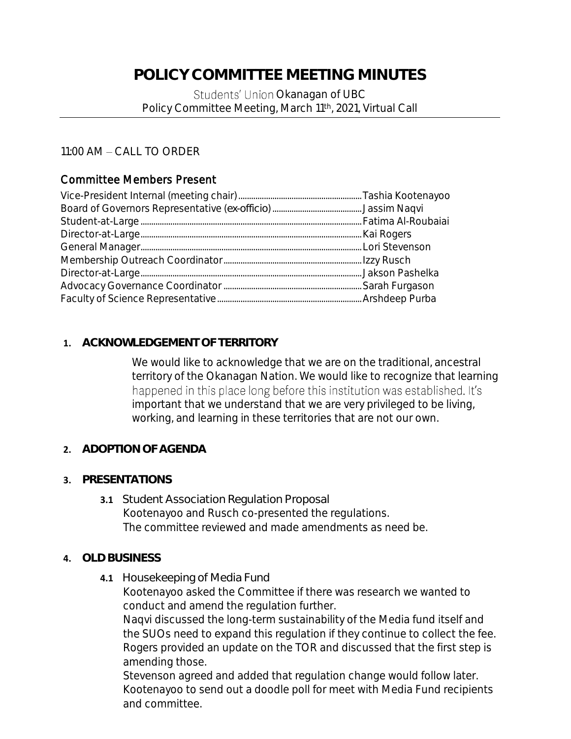# **POLICY COMMITTEE MEETING MINUTES**

Students' Union Okanagan of UBC Policy Committee Meeting, March 11th, 2021, Virtual Call

11:00 AM - CALL TO ORDER

# Committee Members Present

### **1. ACKNOWLEDGEMENT OF TERRITORY**

We would like to acknowledge that we are on the traditional, ancestral territory of the Okanagan Nation. We would like to recognize that learning happened in this place long before this institution was established. It's important that we understand that we are very privileged to be living, working, and learning in these territories that are not our own.

- **2. ADOPTION OF AGENDA**
- **3. PRESENTATIONS**
	- **3.1** Student Association Regulation Proposal Kootenayoo and Rusch co-presented the regulations. The committee reviewed and made amendments as need be.
- **4. OLD BUSINESS**
	- **4.1** Housekeeping of Media Fund

Kootenayoo asked the Committee if there was research we wanted to conduct and amend the regulation further.

Naqvi discussed the long-term sustainability of the Media fund itself and the SUOs need to expand this regulation if they continue to collect the fee. Rogers provided an update on the TOR and discussed that the first step is amending those.

Stevenson agreed and added that regulation change would follow later. Kootenayoo to send out a doodle poll for meet with Media Fund recipients and committee.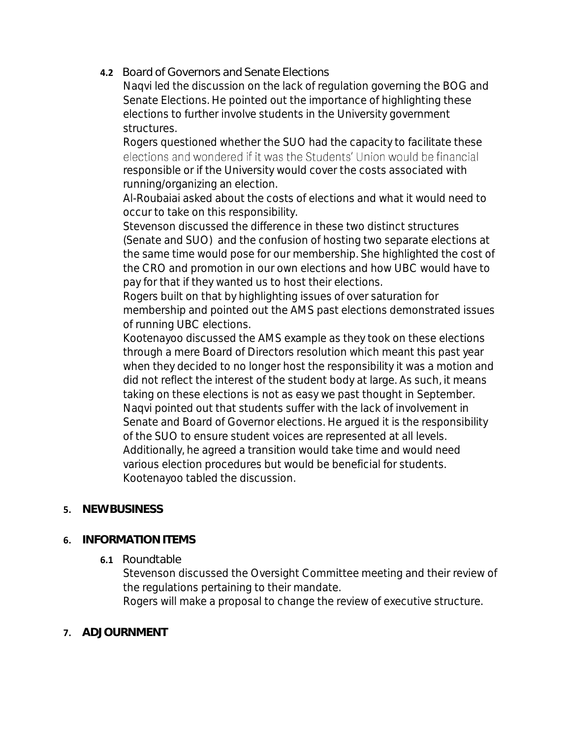**4.2** Board of Governors and Senate Elections

Naqvi led the discussion on the lack of regulation governing the BOG and Senate Elections. He pointed out the importance of highlighting these elections to further involve students in the University government structures.

Rogers questioned whether the SUO had the capacity to facilitate these elections and wondered if it was the Students' Union would be financial responsible or if the University would cover the costs associated with running/organizing an election.

Al-Roubaiai asked about the costs of elections and what it would need to occur to take on this responsibility.

Stevenson discussed the difference in these two distinct structures (Senate and SUO) and the confusion of hosting two separate elections at the same time would pose for our membership. She highlighted the cost of the CRO and promotion in our own elections and how UBC would have to pay for that if they wanted us to host their elections.

Rogers built on that by highlighting issues of over saturation for membership and pointed out the AMS past elections demonstrated issues of running UBC elections.

Kootenayoo discussed the AMS example as they took on these elections through a mere Board of Directors resolution which meant this past year when they decided to no longer host the responsibility it was a motion and did not reflect the interest of the student body at large. As such, it means taking on these elections is not as easy we past thought in September. Naqvi pointed out that students suffer with the lack of involvement in Senate and Board of Governor elections. He argued it is the responsibility of the SUO to ensure student voices are represented at all levels. Additionally, he agreed a transition would take time and would need various election procedures but would be beneficial for students. Kootenayoo tabled the discussion.

# **5. NEW BUSINESS**

# **6. INFORMATION ITEMS**

### **6.1** Roundtable

Stevenson discussed the Oversight Committee meeting and their review of the regulations pertaining to their mandate.

Rogers will make a proposal to change the review of executive structure.

# **7. ADJOURNMENT**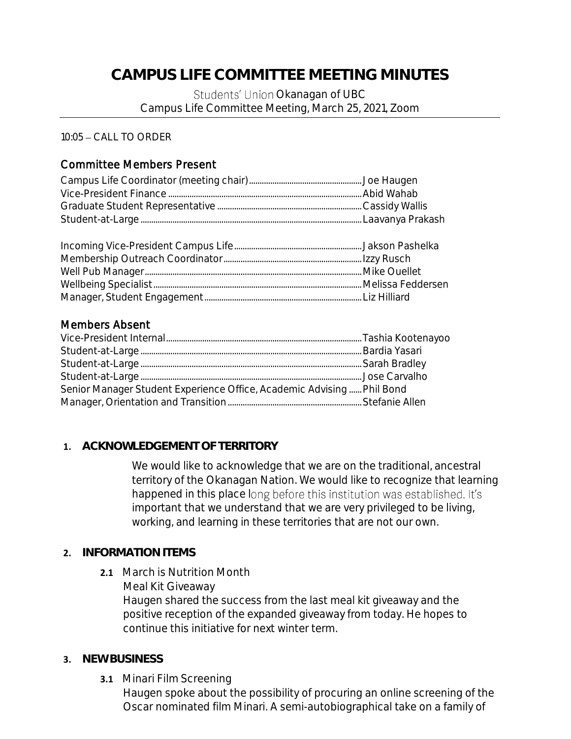# **CAMPUS LIFE COMMITTEE MEETING MINUTES**

Students' Union Okanagan of UBC Campus Life Committee Meeting, March 25, 2021, Zoom

 $10:05 - CALL$  TO ORDER

# Committee Members Present

# Members Absent

| Senior Manager Student Experience Office, Academic Advising Phil Bond |  |
|-----------------------------------------------------------------------|--|
|                                                                       |  |

# **1. ACKNOWLEDGEMENT OF TERRITORY**

We would like to acknowledge that we are on the traditional, ancestral territory of the Okanagan Nation. We would like to recognize that learning happened in this place long before this institution was established. It's important that we understand that we are very privileged to be living, working, and learning in these territories that are not our own.

### **2. INFORMATION ITEMS**

**2.1** March is Nutrition Month Meal Kit Giveaway Haugen shared the success from the last meal kit giveaway and the positive reception of the expanded giveaway from today. He hopes to continue this initiative for next winter term.

### **3. NEW BUSINESS**

**3.1** Minari Film Screening

Haugen spoke about the possibility of procuring an online screening of the Oscar nominated film Minari. A semi-autobiographical take on a family of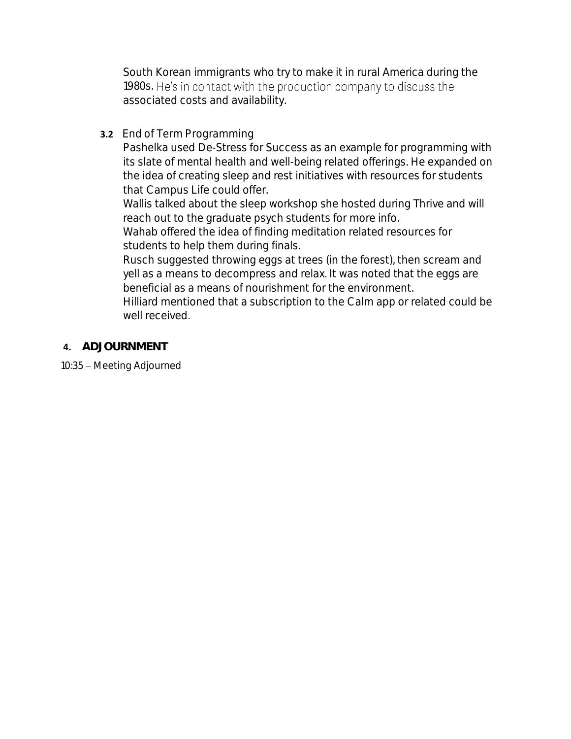South Korean immigrants who try to make it in rural America during the 1980s. He's in contact with the production company to discuss the associated costs and availability.

**3.2** End of Term Programming

Pashelka used De-Stress for Success as an example for programming with its slate of mental health and well-being related offerings. He expanded on the idea of creating sleep and rest initiatives with resources for students that Campus Life could offer.

Wallis talked about the sleep workshop she hosted during Thrive and will reach out to the graduate psych students for more info.

Wahab offered the idea of finding meditation related resources for students to help them during finals.

Rusch suggested throwing eggs at trees (in the forest), then scream and yell as a means to decompress and relax. It was noted that the eggs are beneficial as a means of nourishment for the environment.

Hilliard mentioned that a subscription to the Calm app or related could be well received.

**4. ADJOURNMENT**

10:35 – Meeting Adjourned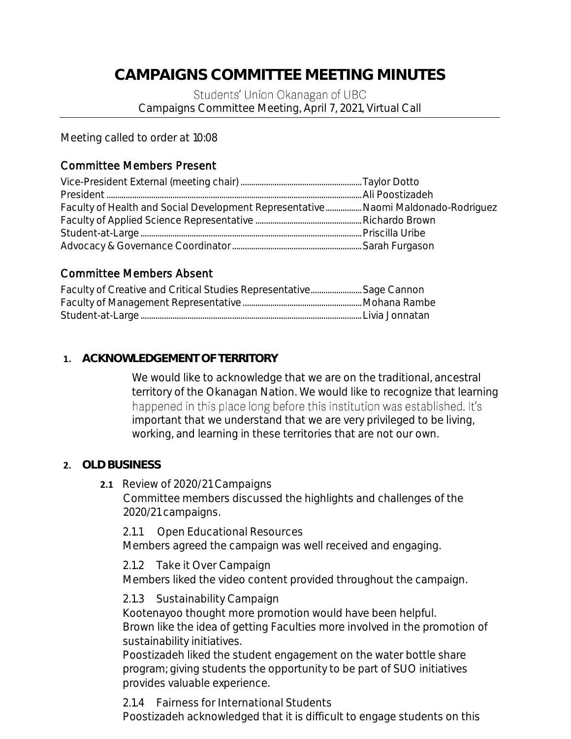# **CAMPAIGNS COMMITTEE MEETING MINUTES**

Students' Union Okanagan of UBC Campaigns Committee Meeting, April 7, 2021, Virtual Call

Meeting called to order at 10:08

# Committee Members Present

| Faculty of Health and Social Development Representative Naomi Maldonado-Rodriguez |  |
|-----------------------------------------------------------------------------------|--|
|                                                                                   |  |
|                                                                                   |  |
|                                                                                   |  |

# Committee Members Absent

| Faculty of Creative and Critical Studies Representative Sage Cannon |  |
|---------------------------------------------------------------------|--|
|                                                                     |  |
|                                                                     |  |

# **1. ACKNOWLEDGEMENT OF TERRITORY**

We would like to acknowledge that we are on the traditional, ancestral territory of the Okanagan Nation. We would like to recognize that learning happened in this place long before this institution was established. It's important that we understand that we are very privileged to be living, working, and learning in these territories that are not our own.

### **2. OLD BUSINESS**

**2.1** Review of 2020/21 Campaigns

Committee members discussed the highlights and challenges of the 2020/21 campaigns.

2.1.1 Open Educational Resources Members agreed the campaign was well received and engaging.

2.1.2 Take it Over Campaign

Members liked the video content provided throughout the campaign.

2.1.3 Sustainability Campaign

Kootenayoo thought more promotion would have been helpful. Brown like the idea of getting Faculties more involved in the promotion of sustainability initiatives.

Poostizadeh liked the student engagement on the water bottle share program; giving students the opportunity to be part of SUO initiatives provides valuable experience.

2.1.4 Fairness for International Students Poostizadeh acknowledged that it is difficult to engage students on this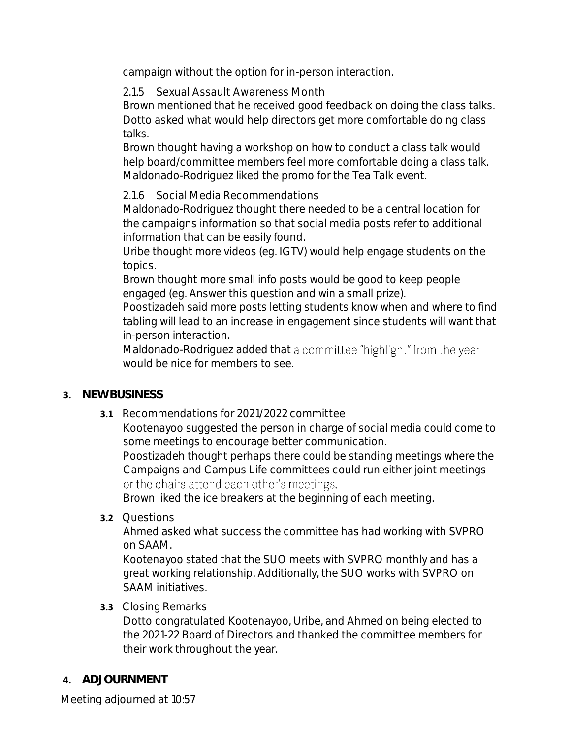campaign without the option for in-person interaction.

2.1.5 Sexual Assault Awareness Month

Brown mentioned that he received good feedback on doing the class talks. Dotto asked what would help directors get more comfortable doing class talks.

Brown thought having a workshop on how to conduct a class talk would help board/committee members feel more comfortable doing a class talk. Maldonado-Rodriguez liked the promo for the Tea Talk event.

2.1.6 Social Media Recommendations

Maldonado-Rodriguez thought there needed to be a central location for the campaigns information so that social media posts refer to additional information that can be easily found.

Uribe thought more videos (eg. IGTV) would help engage students on the topics.

Brown thought more small info posts would be good to keep people engaged (eg. Answer this question and win a small prize).

Poostizadeh said more posts letting students know when and where to find tabling will lead to an increase in engagement since students will want that in-person interaction.

Maldonado-Rodriguez added that a committee "highlight" from the year would be nice for members to see.

- **3. NEW BUSINESS**
	- **3.1** Recommendations for 2021/2022 committee

Kootenayoo suggested the person in charge of social media could come to some meetings to encourage better communication.

Poostizadeh thought perhaps there could be standing meetings where the Campaigns and Campus Life committees could run either joint meetings or the chairs attend each other's meetings.

Brown liked the ice breakers at the beginning of each meeting.

**3.2** Questions

Ahmed asked what success the committee has had working with SVPRO on SAAM.

Kootenayoo stated that the SUO meets with SVPRO monthly and has a great working relationship. Additionally, the SUO works with SVPRO on SAAM initiatives.

# **3.3** Closing Remarks

Dotto congratulated Kootenayoo, Uribe, and Ahmed on being elected to the 2021-22 Board of Directors and thanked the committee members for their work throughout the year.

# **4. ADJOURNMENT**

Meeting adjourned at 10:57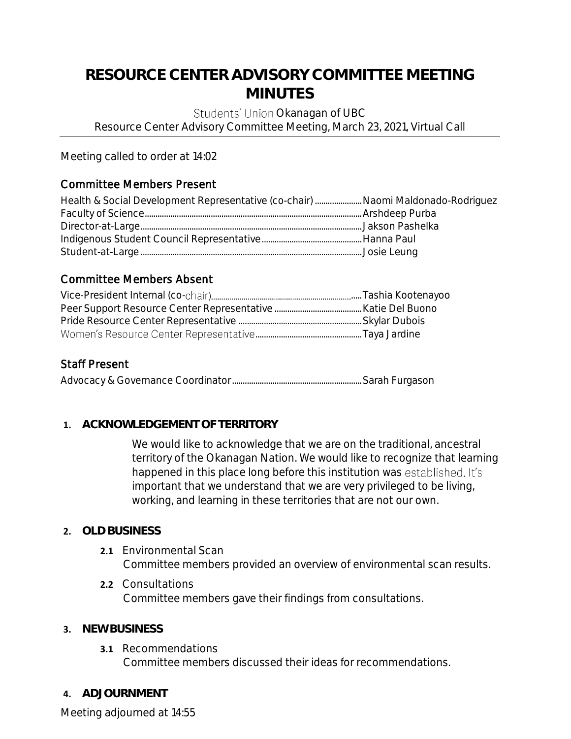# **RESOURCE CENTER ADVISORY COMMITTEE MEETING MINUTES**

Students' Union Okanagan of UBC

Resource Center Advisory Committee Meeting, March 23, 2021, Virtual Call

Meeting called to order at 14:02

# Committee Members Present

| Health & Social Development Representative (co-chair)  Naomi Maldonado-Rodriguez |  |
|----------------------------------------------------------------------------------|--|
|                                                                                  |  |
|                                                                                  |  |
|                                                                                  |  |
|                                                                                  |  |

# Committee Members Absent

# Staff Present

Advocacy & Governance Coordinator.............................................................Sarah Furgason

# **1. ACKNOWLEDGEMENT OF TERRITORY**

We would like to acknowledge that we are on the traditional, ancestral territory of the Okanagan Nation. We would like to recognize that learning happened in this place long before this institution was established. It's important that we understand that we are very privileged to be living, working, and learning in these territories that are not our own.

# **2. OLD BUSINESS**

- 2.1 Environmental Scan Committee members provided an overview of environmental scan results.
- **2.2** Consultations Committee members gave their findings from consultations.

# **3. NEW BUSINESS**

- **3.1** Recommendations Committee members discussed their ideas for recommendations.
- **4. ADJOURNMENT**

Meeting adjourned at 14:55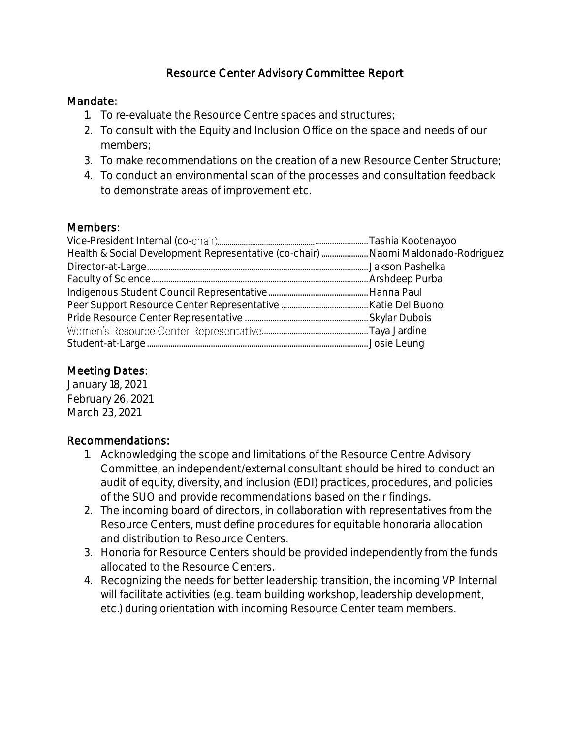# Resource Center Advisory Committee Report

### Mandate:

- 1. To re-evaluate the Resource Centre spaces and structures;
- 2. To consult with the Equity and Inclusion Office on the space and needs of our members;
- 3. To make recommendations on the creation of a new Resource Center Structure;
- 4. To conduct an environmental scan of the processes and consultation feedback to demonstrate areas of improvement etc.

## Members:

| Health & Social Development Representative (co-chair)  Naomi Maldonado-Rodriguez |  |
|----------------------------------------------------------------------------------|--|
|                                                                                  |  |
|                                                                                  |  |
|                                                                                  |  |
|                                                                                  |  |
|                                                                                  |  |
|                                                                                  |  |
|                                                                                  |  |

# Meeting Dates:

January 18, 2021 February 26, 2021 March 23, 2021

# Recommendations:

- 1. Acknowledging the scope and limitations of the Resource Centre Advisory Committee, an independent/external consultant should be hired to conduct an audit of equity, diversity, and inclusion (EDI) practices, procedures, and policies of the SUO and provide recommendations based on their findings.
- 2. The incoming board of directors, in collaboration with representatives from the Resource Centers, must define procedures for equitable honoraria allocation and distribution to Resource Centers.
- 3. Honoria for Resource Centers should be provided independently from the funds allocated to the Resource Centers.
- 4. Recognizing the needs for better leadership transition, the incoming VP Internal will facilitate activities (e.g. team building workshop, leadership development, etc.) during orientation with incoming Resource Center team members.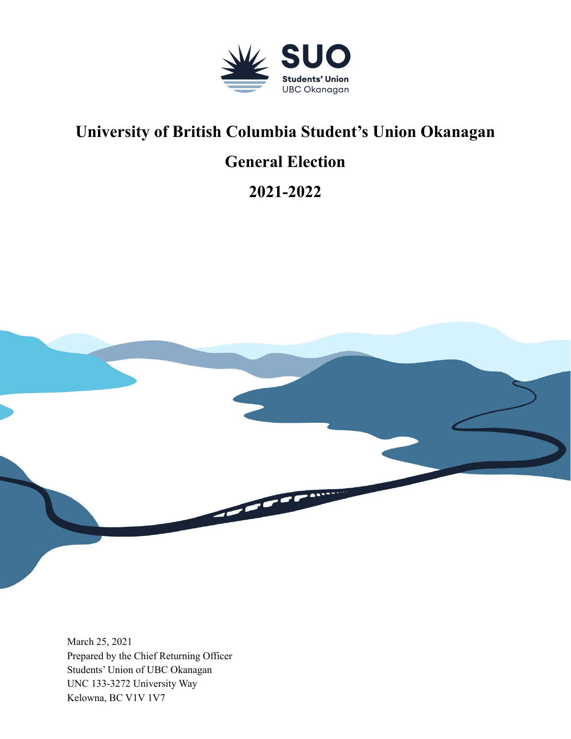

# **University of British Columbia Student's Union Okanagan**

# **General Election**

**2021-2022**



March 25, 2021 Prepared by the Chief Returning Officer Students' Union of UBC Okanagan UNC 133-3272 University Way Kelowna, BC V1V 1V7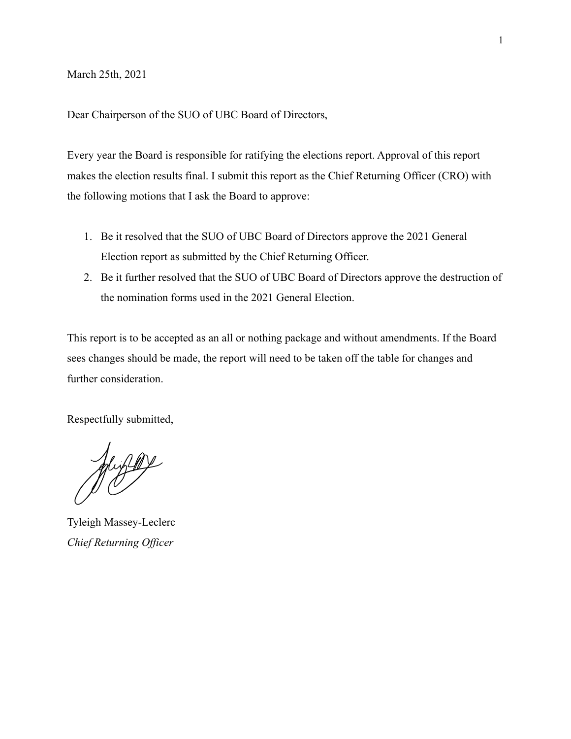March 25th, 2021

Dear Chairperson of the SUO of UBC Board of Directors,

Every year the Board is responsible for ratifying the elections report. Approval of this report makes the election results final. I submit this report as the Chief Returning Officer (CRO) with the following motions that I ask the Board to approve:

- 1. Be it resolved that the SUO of UBC Board of Directors approve the 2021 General Election report as submitted by the Chief Returning Officer.
- 2. Be it further resolved that the SUO of UBC Board of Directors approve the destruction of the nomination forms used in the 2021 General Election.

This report is to be accepted as an all or nothing package and without amendments. If the Board sees changes should be made, the report will need to be taken off the table for changes and further consideration.

Respectfully submitted,

Juzzo

Tyleigh Massey-Leclerc *Chief Returning Officer*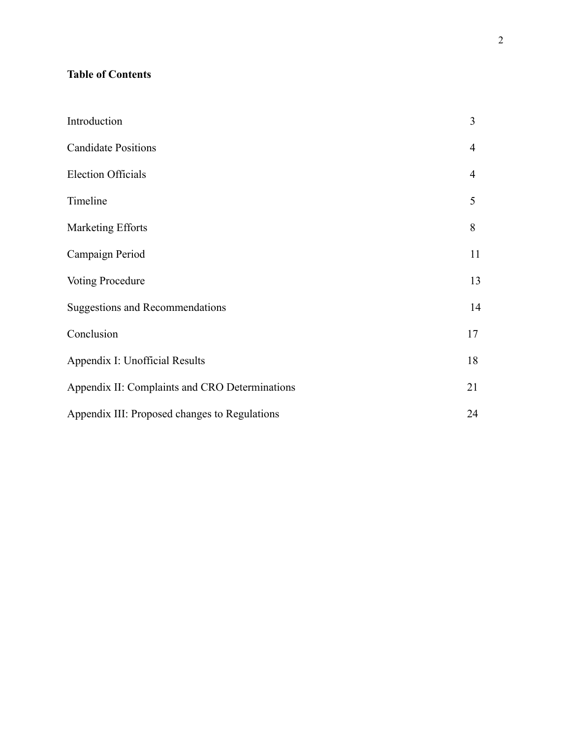# **Table of Contents**

| Introduction                                   | 3  |
|------------------------------------------------|----|
| <b>Candidate Positions</b>                     | 4  |
| <b>Election Officials</b>                      | 4  |
| Timeline                                       | 5  |
| <b>Marketing Efforts</b>                       | 8  |
| Campaign Period                                | 11 |
| <b>Voting Procedure</b>                        | 13 |
| <b>Suggestions and Recommendations</b>         | 14 |
| Conclusion                                     | 17 |
| Appendix I: Unofficial Results                 | 18 |
| Appendix II: Complaints and CRO Determinations | 21 |
| Appendix III: Proposed changes to Regulations  | 24 |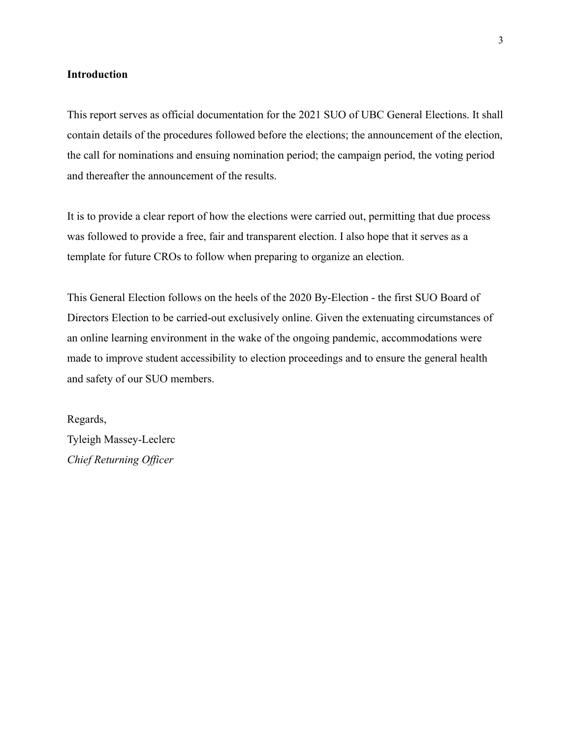#### **Introduction**

This report serves as official documentation for the 2021 SUO of UBC General Elections. It shall contain details of the procedures followed before the elections; the announcement of the election, the call for nominations and ensuing nomination period; the campaign period, the voting period and thereafter the announcement of the results.

It is to provide a clear report of how the elections were carried out, permitting that due process was followed to provide a free, fair and transparent election. I also hope that it serves as a template for future CROs to follow when preparing to organize an election.

This General Election follows on the heels of the 2020 By-Election - the first SUO Board of Directors Election to be carried-out exclusively online. Given the extenuating circumstances of an online learning environment in the wake of the ongoing pandemic, accommodations were made to improve student accessibility to election proceedings and to ensure the general health and safety of our SUO members.

Regards, Tyleigh Massey-Leclerc *Chief Returning Officer*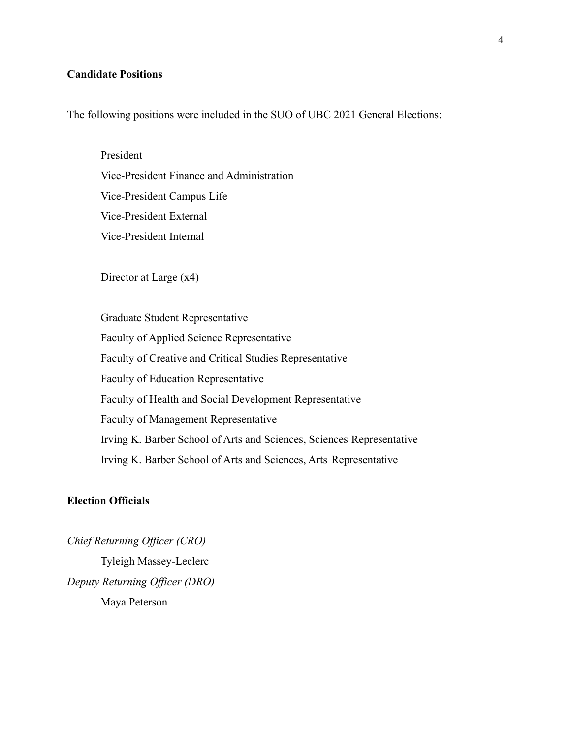#### **Candidate Positions**

The following positions were included in the SUO of UBC 2021 General Elections:

President Vice-President Finance and Administration Vice-President Campus Life Vice-President External Vice-President Internal

Director at Large (x4)

Graduate Student Representative Faculty of Applied Science Representative Faculty of Creative and Critical Studies Representative Faculty of Education Representative Faculty of Health and Social Development Representative Faculty of Management Representative Irving K. Barber School of Arts and Sciences, Sciences Representative Irving K. Barber School of Arts and Sciences, Arts Representative

#### **Election Officials**

*Chief Returning Officer (CRO)* Tyleigh Massey-Leclerc *Deputy Returning Officer (DRO)* Maya Peterson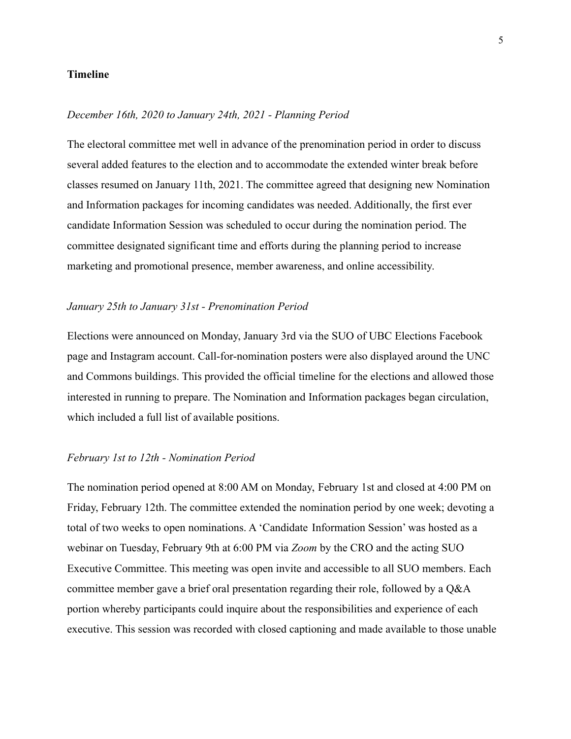#### **Timeline**

#### *December 16th, 2020 to January 24th, 2021 - Planning Period*

The electoral committee met well in advance of the prenomination period in order to discuss several added features to the election and to accommodate the extended winter break before classes resumed on January 11th, 2021. The committee agreed that designing new Nomination and Information packages for incoming candidates was needed. Additionally, the first ever candidate Information Session was scheduled to occur during the nomination period. The committee designated significant time and efforts during the planning period to increase marketing and promotional presence, member awareness, and online accessibility.

#### *January 25th to January 31st - Prenomination Period*

Elections were announced on Monday, January 3rd via the SUO of UBC Elections Facebook page and Instagram account. Call-for-nomination posters were also displayed around the UNC and Commons buildings. This provided the official timeline for the elections and allowed those interested in running to prepare. The Nomination and Information packages began circulation, which included a full list of available positions.

#### *February 1st to 12th - Nomination Period*

The nomination period opened at 8:00 AM on Monday, February 1st and closed at 4:00 PM on Friday, February 12th. The committee extended the nomination period by one week; devoting a total of two weeks to open nominations. A 'Candidate Information Session' was hosted as a webinar on Tuesday, February 9th at 6:00 PM via *Zoom* by the CRO and the acting SUO Executive Committee. This meeting was open invite and accessible to all SUO members. Each committee member gave a brief oral presentation regarding their role, followed by a Q&A portion whereby participants could inquire about the responsibilities and experience of each executive. This session was recorded with closed captioning and made available to those unable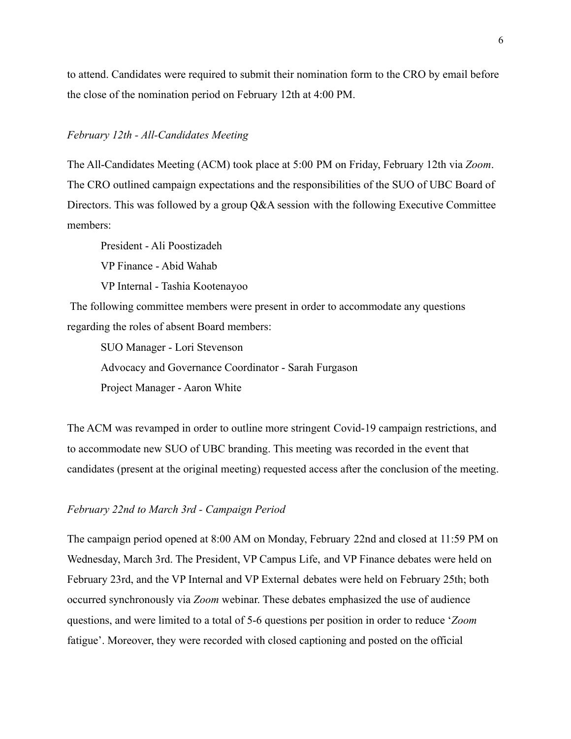to attend. Candidates were required to submit their nomination form to the CRO by email before the close of the nomination period on February 12th at 4:00 PM.

#### *February 12th - All-Candidates Meeting*

The All-Candidates Meeting (ACM) took place at 5:00 PM on Friday, February 12th via *Zoom*. The CRO outlined campaign expectations and the responsibilities of the SUO of UBC Board of Directors. This was followed by a group Q&A session with the following Executive Committee members:

President - Ali Poostizadeh

VP Finance - Abid Wahab

VP Internal - Tashia Kootenayoo

The following committee members were present in order to accommodate any questions regarding the roles of absent Board members:

SUO Manager - Lori Stevenson Advocacy and Governance Coordinator - Sarah Furgason Project Manager - Aaron White

The ACM was revamped in order to outline more stringent Covid-19 campaign restrictions, and to accommodate new SUO of UBC branding. This meeting was recorded in the event that candidates (present at the original meeting) requested access after the conclusion of the meeting.

#### *February 22nd to March 3rd - Campaign Period*

The campaign period opened at 8:00 AM on Monday, February 22nd and closed at 11:59 PM on Wednesday, March 3rd. The President, VP Campus Life, and VP Finance debates were held on February 23rd, and the VP Internal and VP External debates were held on February 25th; both occurred synchronously via *Zoom* webinar. These debates emphasized the use of audience questions, and were limited to a total of 5-6 questions per position in order to reduce '*Zoom* fatigue'. Moreover, they were recorded with closed captioning and posted on the official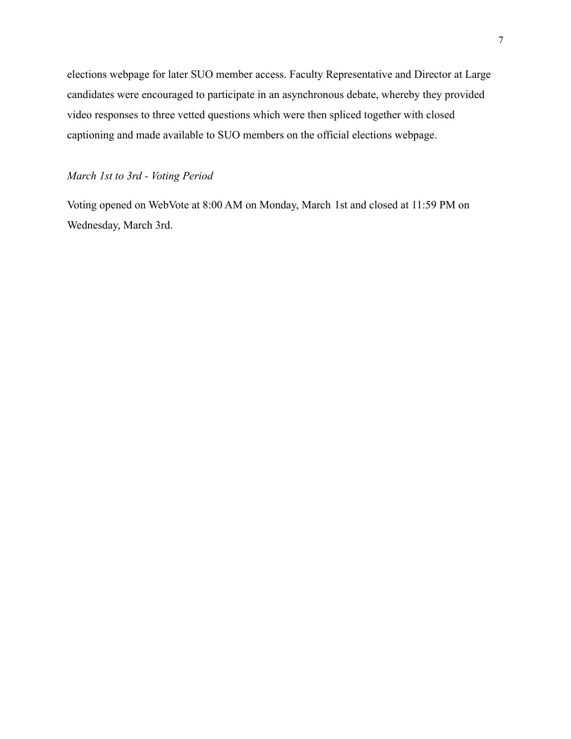elections webpage for later SUO member access. Faculty Representative and Director at Large candidates were encouraged to participate in an asynchronous debate, whereby they provided video responses to three vetted questions which were then spliced together with closed captioning and made available to SUO members on the official elections webpage.

#### *March 1st to 3rd - Voting Period*

Voting opened on WebVote at 8:00 AM on Monday, March 1st and closed at 11:59 PM on Wednesday, March 3rd.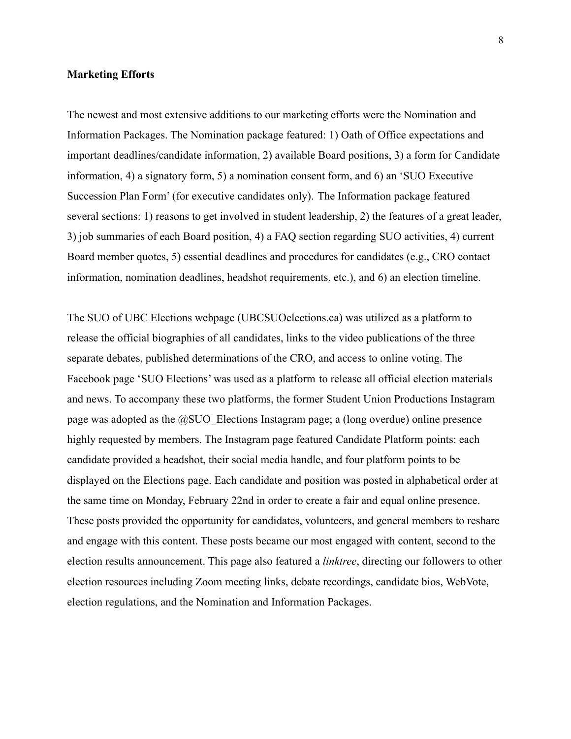#### **Marketing Efforts**

The newest and most extensive additions to our marketing efforts were the Nomination and Information Packages. The Nomination package featured: 1) Oath of Office expectations and important deadlines/candidate information, 2) available Board positions, 3) a form for Candidate information, 4) a signatory form, 5) a nomination consent form, and 6) an 'SUO Executive Succession Plan Form' (for executive candidates only). The Information package featured several sections: 1) reasons to get involved in student leadership, 2) the features of a great leader, 3) job summaries of each Board position, 4) a FAQ section regarding SUO activities, 4) current Board member quotes, 5) essential deadlines and procedures for candidates (e.g., CRO contact information, nomination deadlines, headshot requirements, etc.), and 6) an election timeline.

The SUO of UBC Elections webpage (UBCSUOelections.ca) was utilized as a platform to release the official biographies of all candidates, links to the video publications of the three separate debates, published determinations of the CRO, and access to online voting. The Facebook page 'SUO Elections' was used as a platform to release all official election materials and news. To accompany these two platforms, the former Student Union Productions Instagram page was adopted as the  $@S$ UO Elections Instagram page; a (long overdue) online presence highly requested by members. The Instagram page featured Candidate Platform points: each candidate provided a headshot, their social media handle, and four platform points to be displayed on the Elections page. Each candidate and position was posted in alphabetical order at the same time on Monday, February 22nd in order to create a fair and equal online presence. These posts provided the opportunity for candidates, volunteers, and general members to reshare and engage with this content. These posts became our most engaged with content, second to the election results announcement. This page also featured a *linktree*, directing our followers to other election resources including Zoom meeting links, debate recordings, candidate bios, WebVote, election regulations, and the Nomination and Information Packages.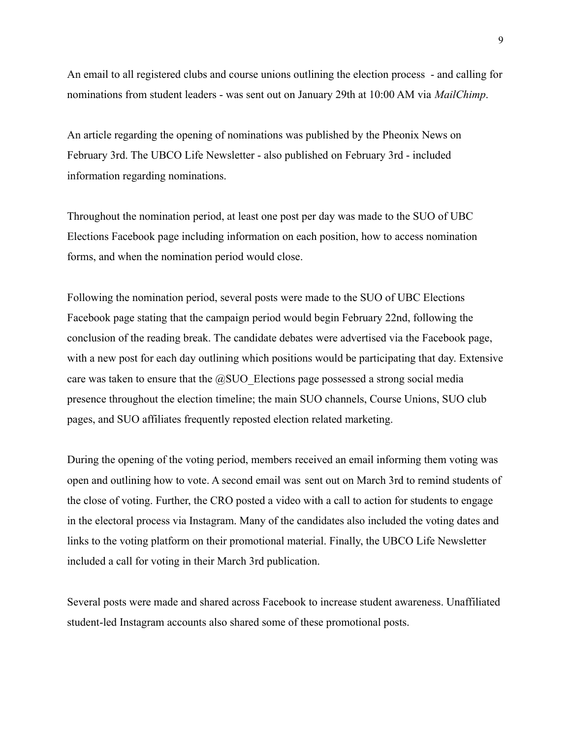An email to all registered clubs and course unions outlining the election process - and calling for nominations from student leaders - was sent out on January 29th at 10:00 AM via *MailChimp*.

An article regarding the opening of nominations was published by the Pheonix News on February 3rd. The UBCO Life Newsletter - also published on February 3rd - included information regarding nominations.

Throughout the nomination period, at least one post per day was made to the SUO of UBC Elections Facebook page including information on each position, how to access nomination forms, and when the nomination period would close.

Following the nomination period, several posts were made to the SUO of UBC Elections Facebook page stating that the campaign period would begin February 22nd, following the conclusion of the reading break. The candidate debates were advertised via the Facebook page, with a new post for each day outlining which positions would be participating that day. Extensive care was taken to ensure that the  $@S$ UO Elections page possessed a strong social media presence throughout the election timeline; the main SUO channels, Course Unions, SUO club pages, and SUO affiliates frequently reposted election related marketing.

During the opening of the voting period, members received an email informing them voting was open and outlining how to vote. A second email was sent out on March 3rd to remind students of the close of voting. Further, the CRO posted a video with a call to action for students to engage in the electoral process via Instagram. Many of the candidates also included the voting dates and links to the voting platform on their promotional material. Finally, the UBCO Life Newsletter included a call for voting in their March 3rd publication.

Several posts were made and shared across Facebook to increase student awareness. Unaffiliated student-led Instagram accounts also shared some of these promotional posts.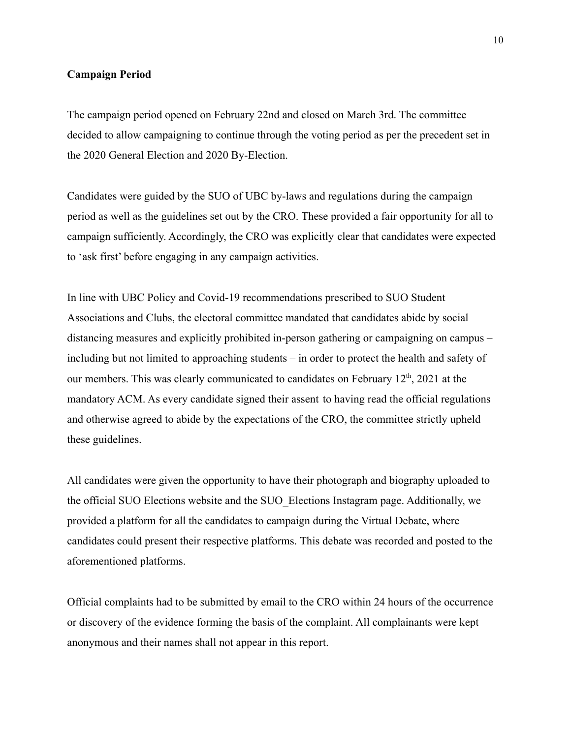#### **Campaign Period**

The campaign period opened on February 22nd and closed on March 3rd. The committee decided to allow campaigning to continue through the voting period as per the precedent set in the 2020 General Election and 2020 By-Election.

Candidates were guided by the SUO of UBC by-laws and regulations during the campaign period as well as the guidelines set out by the CRO. These provided a fair opportunity for all to campaign sufficiently. Accordingly, the CRO was explicitly clear that candidates were expected to 'ask first' before engaging in any campaign activities.

In line with UBC Policy and Covid-19 recommendations prescribed to SUO Student Associations and Clubs, the electoral committee mandated that candidates abide by social distancing measures and explicitly prohibited in-person gathering or campaigning on campus – including but not limited to approaching students – in order to protect the health and safety of our members. This was clearly communicated to candidates on February  $12<sup>th</sup>$ , 2021 at the mandatory ACM. As every candidate signed their assent to having read the official regulations and otherwise agreed to abide by the expectations of the CRO, the committee strictly upheld these guidelines.

All candidates were given the opportunity to have their photograph and biography uploaded to the official SUO Elections website and the SUO\_Elections Instagram page. Additionally, we provided a platform for all the candidates to campaign during the Virtual Debate, where candidates could present their respective platforms. This debate was recorded and posted to the aforementioned platforms.

Official complaints had to be submitted by email to the CRO within 24 hours of the occurrence or discovery of the evidence forming the basis of the complaint. All complainants were kept anonymous and their names shall not appear in this report.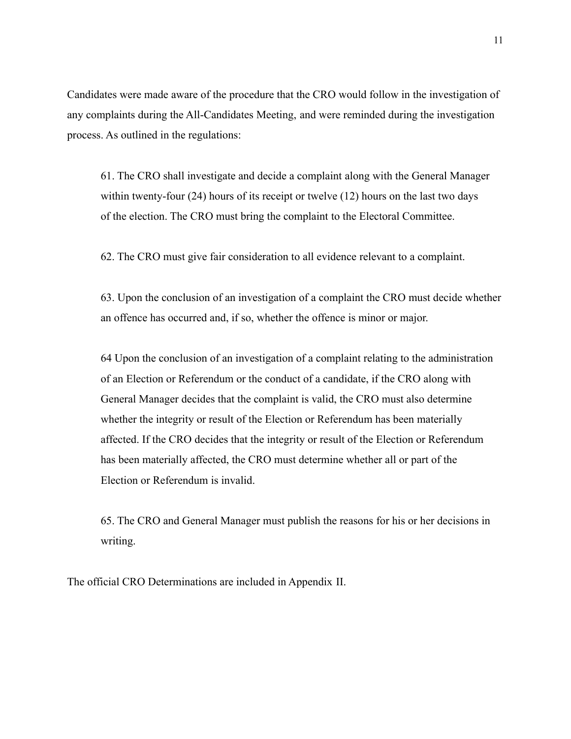Candidates were made aware of the procedure that the CRO would follow in the investigation of any complaints during the All-Candidates Meeting, and were reminded during the investigation process. As outlined in the regulations:

61. The CRO shall investigate and decide a complaint along with the General Manager within twenty-four (24) hours of its receipt or twelve (12) hours on the last two days of the election. The CRO must bring the complaint to the Electoral Committee.

62. The CRO must give fair consideration to all evidence relevant to a complaint.

63. Upon the conclusion of an investigation of a complaint the CRO must decide whether an offence has occurred and, if so, whether the offence is minor or major.

64 Upon the conclusion of an investigation of a complaint relating to the administration of an Election or Referendum or the conduct of a candidate, if the CRO along with General Manager decides that the complaint is valid, the CRO must also determine whether the integrity or result of the Election or Referendum has been materially affected. If the CRO decides that the integrity or result of the Election or Referendum has been materially affected, the CRO must determine whether all or part of the Election or Referendum is invalid.

65. The CRO and General Manager must publish the reasons for his or her decisions in writing.

The official CRO Determinations are included in Appendix II.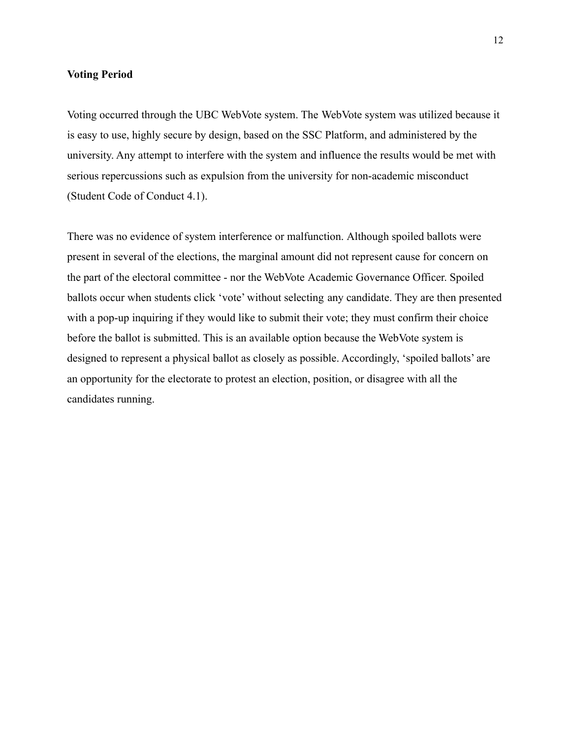#### **Voting Period**

Voting occurred through the UBC WebVote system. The WebVote system was utilized because it is easy to use, highly secure by design, based on the SSC Platform, and administered by the university. Any attempt to interfere with the system and influence the results would be met with serious repercussions such as expulsion from the university for non-academic misconduct (Student Code of Conduct 4.1).

There was no evidence of system interference or malfunction. Although spoiled ballots were present in several of the elections, the marginal amount did not represent cause for concern on the part of the electoral committee - nor the WebVote Academic Governance Officer. Spoiled ballots occur when students click 'vote' without selecting any candidate. They are then presented with a pop-up inquiring if they would like to submit their vote; they must confirm their choice before the ballot is submitted. This is an available option because the WebVote system is designed to represent a physical ballot as closely as possible. Accordingly, 'spoiled ballots' are an opportunity for the electorate to protest an election, position, or disagree with all the candidates running.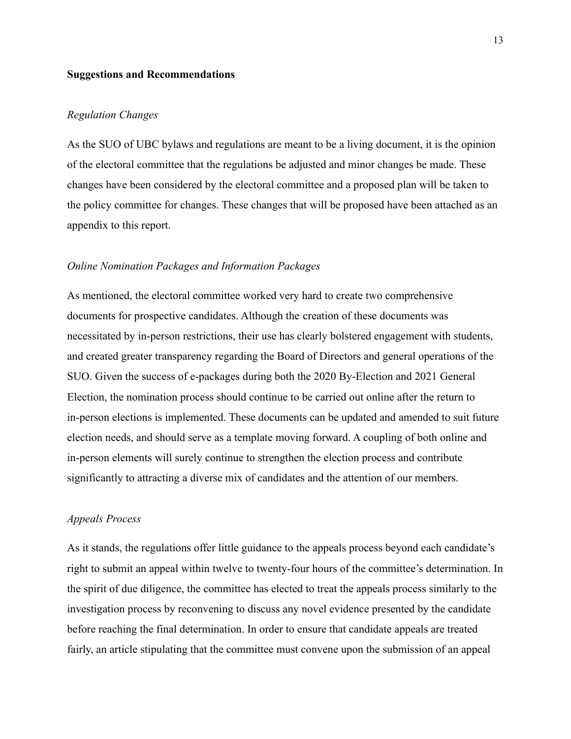#### **Suggestions and Recommendations**

#### *Regulation Changes*

As the SUO of UBC bylaws and regulations are meant to be a living document, it is the opinion of the electoral committee that the regulations be adjusted and minor changes be made. These changes have been considered by the electoral committee and a proposed plan will be taken to the policy committee for changes. These changes that will be proposed have been attached as an appendix to this report.

#### *Online Nomination Packages and Information Packages*

As mentioned, the electoral committee worked very hard to create two comprehensive documents for prospective candidates. Although the creation of these documents was necessitated by in-person restrictions, their use has clearly bolstered engagement with students, and created greater transparency regarding the Board of Directors and general operations of the SUO. Given the success of e-packages during both the 2020 By-Election and 2021 General Election, the nomination process should continue to be carried out online after the return to in-person elections is implemented. These documents can be updated and amended to suit future election needs, and should serve as a template moving forward. A coupling of both online and in-person elements will surely continue to strengthen the election process and contribute significantly to attracting a diverse mix of candidates and the attention of our members.

#### *Appeals Process*

As it stands, the regulations offer little guidance to the appeals process beyond each candidate's right to submit an appeal within twelve to twenty-four hours of the committee's determination. In the spirit of due diligence, the committee has elected to treat the appeals process similarly to the investigation process by reconvening to discuss any novel evidence presented by the candidate before reaching the final determination. In order to ensure that candidate appeals are treated fairly, an article stipulating that the committee must convene upon the submission of an appeal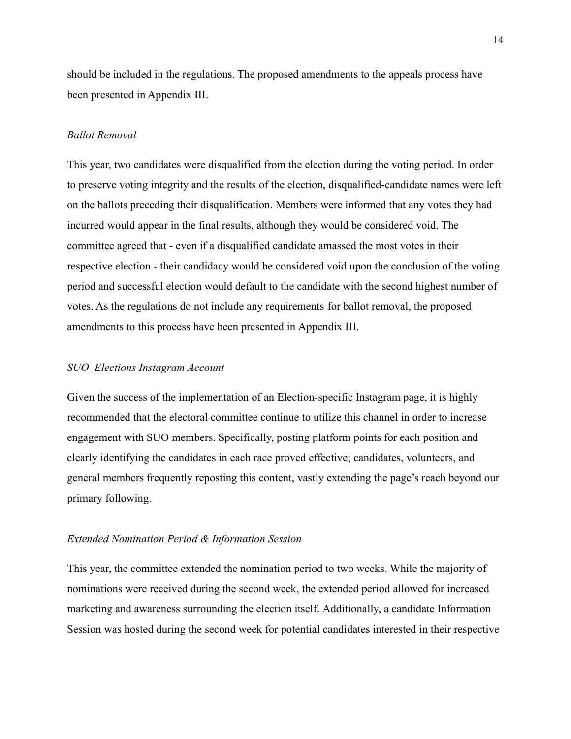should be included in the regulations. The proposed amendments to the appeals process have been presented in Appendix III.

#### *Ballot Removal*

This year, two candidates were disqualified from the election during the voting period. In order to preserve voting integrity and the results of the election, disqualified-candidate names were left on the ballots preceding their disqualification. Members were informed that any votes they had incurred would appear in the final results, although they would be considered void. The committee agreed that - even if a disqualified candidate amassed the most votes in their respective election - their candidacy would be considered void upon the conclusion of the voting period and successful election would default to the candidate with the second highest number of votes. As the regulations do not include any requirements for ballot removal, the proposed amendments to this process have been presented in Appendix III.

#### *SUO\_Elections Instagram Account*

Given the success of the implementation of an Election-specific Instagram page, it is highly recommended that the electoral committee continue to utilize this channel in order to increase engagement with SUO members. Specifically, posting platform points for each position and clearly identifying the candidates in each race proved effective; candidates, volunteers, and general members frequently reposting this content, vastly extending the page's reach beyond our primary following.

#### *Extended Nomination Period & Information Session*

This year, the committee extended the nomination period to two weeks. While the majority of nominations were received during the second week, the extended period allowed for increased marketing and awareness surrounding the election itself. Additionally, a candidate Information Session was hosted during the second week for potential candidates interested in their respective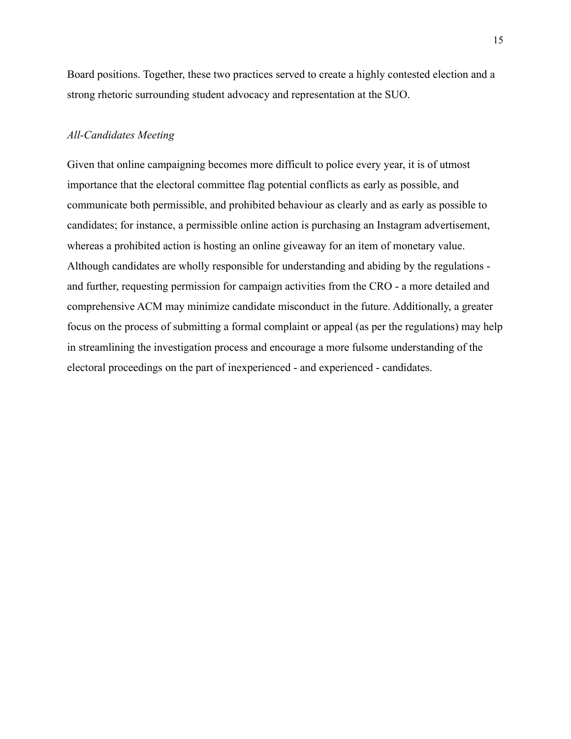Board positions. Together, these two practices served to create a highly contested election and a strong rhetoric surrounding student advocacy and representation at the SUO.

#### *All-Candidates Meeting*

Given that online campaigning becomes more difficult to police every year, it is of utmost importance that the electoral committee flag potential conflicts as early as possible, and communicate both permissible, and prohibited behaviour as clearly and as early as possible to candidates; for instance, a permissible online action is purchasing an Instagram advertisement, whereas a prohibited action is hosting an online giveaway for an item of monetary value. Although candidates are wholly responsible for understanding and abiding by the regulations and further, requesting permission for campaign activities from the CRO - a more detailed and comprehensive ACM may minimize candidate misconduct in the future. Additionally, a greater focus on the process of submitting a formal complaint or appeal (as per the regulations) may help in streamlining the investigation process and encourage a more fulsome understanding of the electoral proceedings on the part of inexperienced - and experienced - candidates.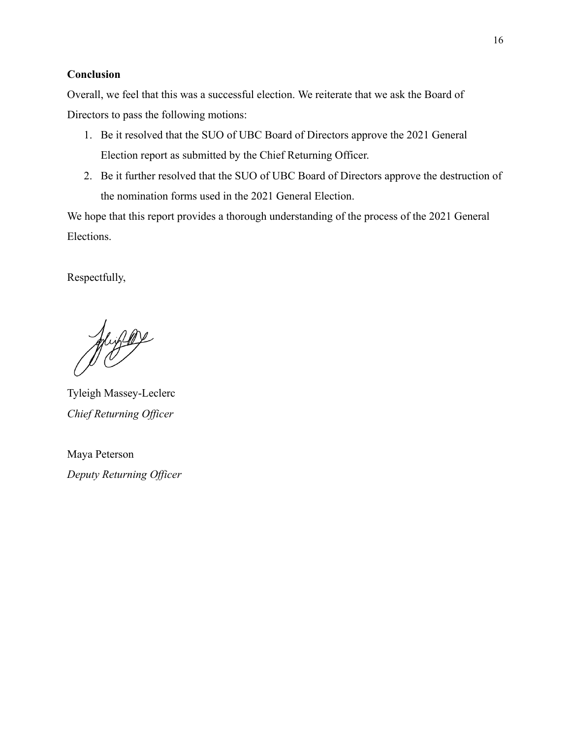#### **Conclusion**

Overall, we feel that this was a successful election. We reiterate that we ask the Board of Directors to pass the following motions:

- 1. Be it resolved that the SUO of UBC Board of Directors approve the 2021 General Election report as submitted by the Chief Returning Officer.
- 2. Be it further resolved that the SUO of UBC Board of Directors approve the destruction of the nomination forms used in the 2021 General Election.

We hope that this report provides a thorough understanding of the process of the 2021 General Elections.

Respectfully,

Jugge

Tyleigh Massey-Leclerc *Chief Returning Officer*

Maya Peterson *Deputy Returning Officer*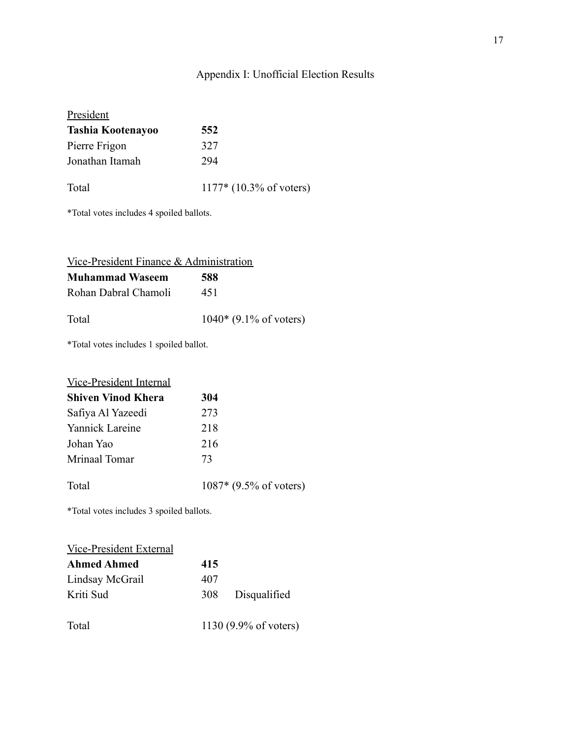# Appendix I: Unofficial Election Results

| President                |                           |
|--------------------------|---------------------------|
| <b>Tashia Kootenayoo</b> | 552                       |
| Pierre Frigon            | 327                       |
| Jonathan Itamah          | 294                       |
| Total                    | $1177*$ (10.3% of voters) |

\*Total votes includes 4 spoiled ballots.

| Vice-President Finance & Administration |                          |
|-----------------------------------------|--------------------------|
| <b>Muhammad Waseem</b>                  | 588                      |
| Rohan Dabral Chamoli                    | 451                      |
| Total                                   | $1040*$ (9.1% of voters) |

\*Total votes includes 1 spoiled ballot.

| <b>Vice-President Internal</b> |                          |
|--------------------------------|--------------------------|
| <b>Shiven Vinod Khera</b>      | 304                      |
| Safiya Al Yazeedi              | 273                      |
| Yannick Lareine                | 218                      |
| Johan Yao                      | 216                      |
| Mrinaal Tomar                  | 73                       |
| Total                          | $1087*$ (9.5% of voters) |

\*Total votes includes 3 spoiled ballots.

| Vice-President External |     |                                 |
|-------------------------|-----|---------------------------------|
| <b>Ahmed Ahmed</b>      | 415 |                                 |
| Lindsay McGrail         | 407 |                                 |
| Kriti Sud               | 308 | Disqualified                    |
| Total                   |     | 1130 $(9.9% \text{ of voters})$ |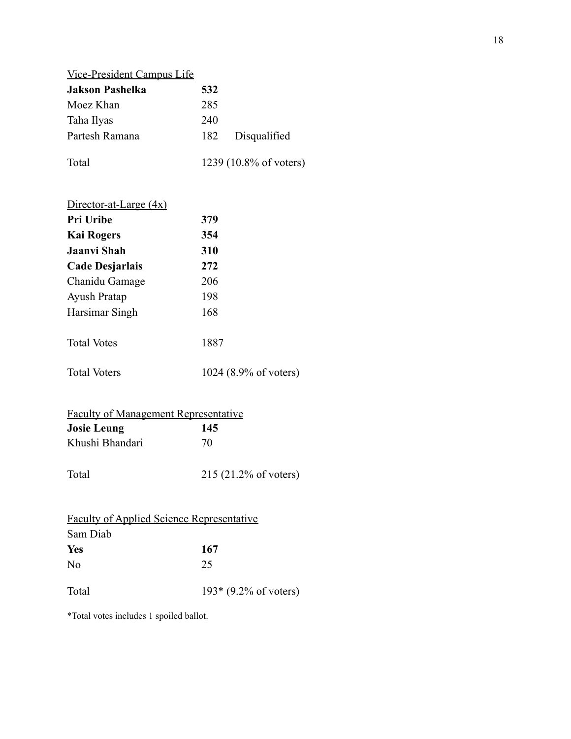| <b>Vice-President Campus Life</b> |     |                        |
|-----------------------------------|-----|------------------------|
| <b>Jakson Pashelka</b>            | 532 |                        |
| Moez Khan                         | 285 |                        |
| Taha Ilyas                        | 240 |                        |
| Partesh Ramana                    | 182 | Disqualified           |
| Total                             |     | 1239 (10.8% of voters) |

| Director-at-Large $(4x)$ |                       |
|--------------------------|-----------------------|
| Pri Uribe                | 379                   |
| <b>Kai Rogers</b>        | 354                   |
| Jaanvi Shah              | 310                   |
| Cade Desjarlais          | 272                   |
| Chanidu Gamage           | 206                   |
| <b>Ayush Pratap</b>      | 198                   |
| Harsimar Singh           | 168                   |
| <b>Total Votes</b>       | 1887                  |
| <b>Total Voters</b>      | 1024 (8.9% of voters) |

| <b>Faculty of Management Representative</b> |                                  |  |
|---------------------------------------------|----------------------------------|--|
| <b>Josie Leung</b>                          | 145                              |  |
| Khushi Bhandari                             | 70                               |  |
| Total                                       | $215 (21.2\% \text{ of voters})$ |  |

|          | <b>Faculty of Applied Science Representative</b> |
|----------|--------------------------------------------------|
| Sam Diab |                                                  |
| Yes      | 167                                              |
| No       | 25                                               |
| Total    | $193*(9.2\% \text{ of voters})$                  |

\*Total votes includes 1 spoiled ballot.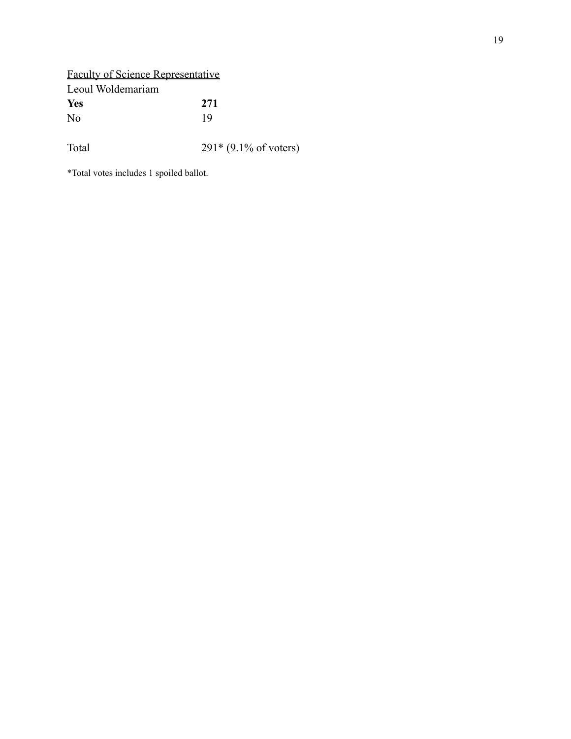Faculty of Science Representative Leoul Woldemariam **Yes 271** No 19 Total 291\* (9.1% of voters)

\*Total votes includes 1 spoiled ballot.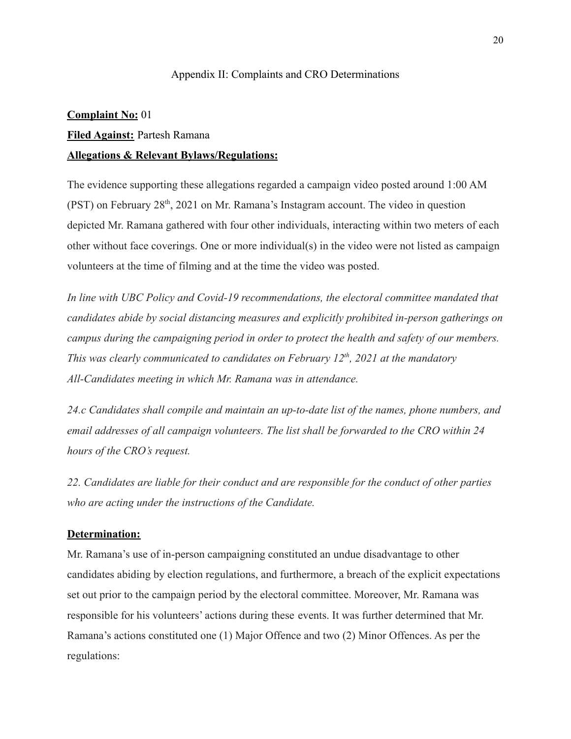#### Appendix II: Complaints and CRO Determinations

#### **Complaint No:** 01

#### **Filed Against:** Partesh Ramana

#### **Allegations & Relevant Bylaws/Regulations:**

The evidence supporting these allegations regarded a campaign video posted around 1:00 AM  $($ PST $)$  on February 28<sup>th</sup>, 2021 on Mr. Ramana's Instagram account. The video in question depicted Mr. Ramana gathered with four other individuals, interacting within two meters of each other without face coverings. One or more individual(s) in the video were not listed as campaign volunteers at the time of filming and at the time the video was posted.

*In line with UBC Policy and Covid-19 recommendations, the electoral committee mandated that candidates abide by social distancing measures and explicitly prohibited in-person gatherings on campus during the campaigning period in order to protect the health and safety of our members. This was clearly communicated to candidates on February 12th , 2021 at the mandatory All-Candidates meeting in which Mr. Ramana was in attendance.*

*24.c Candidates shall compile and maintain an up-to-date list of the names, phone numbers, and email addresses of all campaign volunteers. The list shall be forwarded to the CRO within 24 hours of the CRO's request.*

*22. Candidates are liable for their conduct and are responsible for the conduct of other parties who are acting under the instructions of the Candidate.*

#### **Determination:**

Mr. Ramana's use of in-person campaigning constituted an undue disadvantage to other candidates abiding by election regulations, and furthermore, a breach of the explicit expectations set out prior to the campaign period by the electoral committee. Moreover, Mr. Ramana was responsible for his volunteers' actions during these events. It was further determined that Mr. Ramana's actions constituted one (1) Major Offence and two (2) Minor Offences. As per the regulations: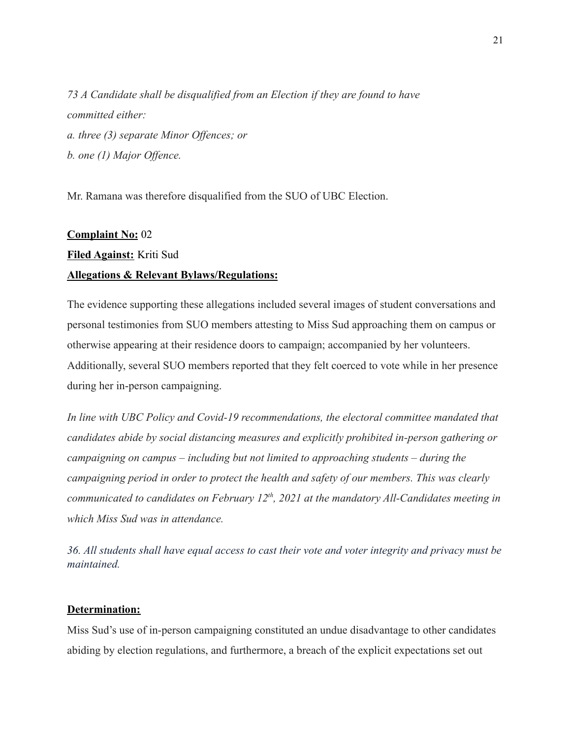*73 A Candidate shall be disqualified from an Election if they are found to have committed either: a. three (3) separate Minor Offences; or b. one (1) Major Offence.*

Mr. Ramana was therefore disqualified from the SUO of UBC Election.

#### **Complaint No:** 02

# **Filed Against:** Kriti Sud

#### **Allegations & Relevant Bylaws/Regulations:**

The evidence supporting these allegations included several images of student conversations and personal testimonies from SUO members attesting to Miss Sud approaching them on campus or otherwise appearing at their residence doors to campaign; accompanied by her volunteers. Additionally, several SUO members reported that they felt coerced to vote while in her presence during her in-person campaigning.

*In line with UBC Policy and Covid-19 recommendations, the electoral committee mandated that candidates abide by social distancing measures and explicitly prohibited in-person gathering or campaigning on campus – including but not limited to approaching students – during the campaigning period in order to protect the health and safety of our members. This was clearly communicated to candidates on February 12th , 2021 at the mandatory All-Candidates meeting in which Miss Sud was in attendance.*

*36. All students shall have equal access to cast their vote and voter integrity and privacy must be maintained.*

#### **Determination:**

Miss Sud's use of in-person campaigning constituted an undue disadvantage to other candidates abiding by election regulations, and furthermore, a breach of the explicit expectations set out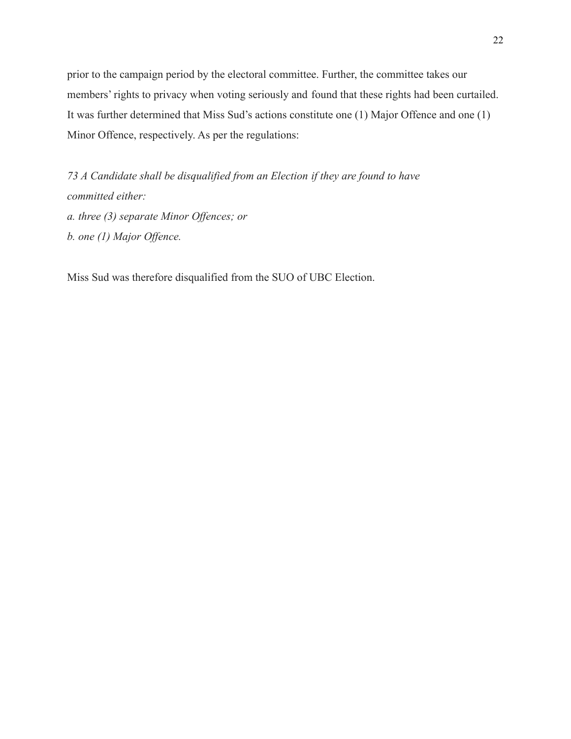prior to the campaign period by the electoral committee. Further, the committee takes our members' rights to privacy when voting seriously and found that these rights had been curtailed. It was further determined that Miss Sud's actions constitute one (1) Major Offence and one (1) Minor Offence, respectively. As per the regulations:

*73 A Candidate shall be disqualified from an Election if they are found to have committed either: a. three (3) separate Minor Offences; or b. one (1) Major Offence.*

Miss Sud was therefore disqualified from the SUO of UBC Election.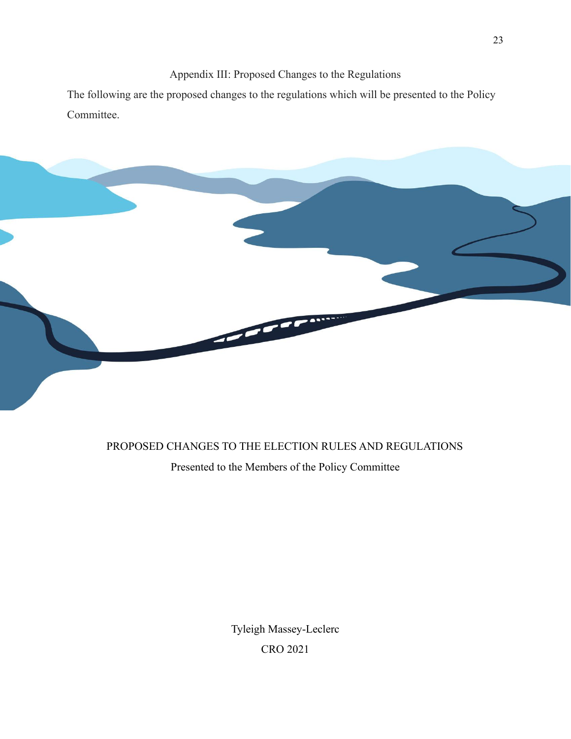Appendix III: Proposed Changes to the Regulations

The following are the proposed changes to the regulations which will be presented to the Policy Committee.



#### PROPOSED CHANGES TO THE ELECTION RULES AND REGULATIONS

Presented to the Members of the Policy Committee

Tyleigh Massey-Leclerc CRO 2021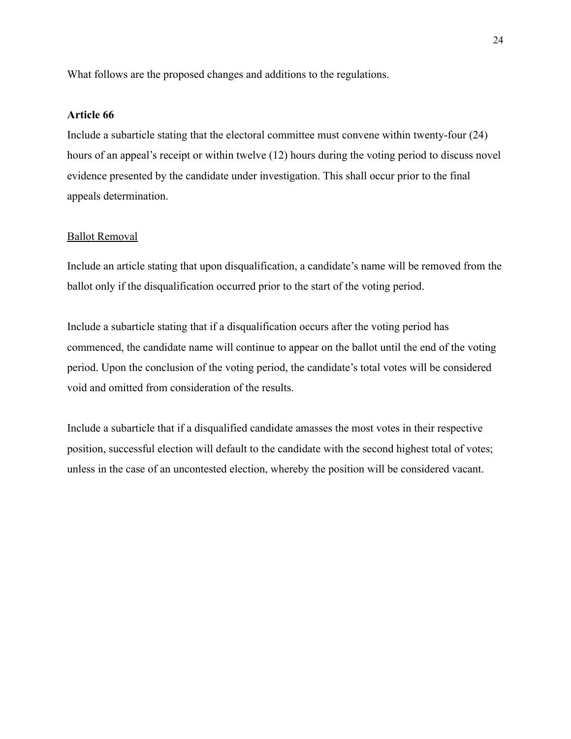What follows are the proposed changes and additions to the regulations.

#### **Article 66**

Include a subarticle stating that the electoral committee must convene within twenty-four (24) hours of an appeal's receipt or within twelve (12) hours during the voting period to discuss novel evidence presented by the candidate under investigation. This shall occur prior to the final appeals determination.

#### Ballot Removal

Include an article stating that upon disqualification, a candidate's name will be removed from the ballot only if the disqualification occurred prior to the start of the voting period.

Include a subarticle stating that if a disqualification occurs after the voting period has commenced, the candidate name will continue to appear on the ballot until the end of the voting period. Upon the conclusion of the voting period, the candidate's total votes will be considered void and omitted from consideration of the results.

Include a subarticle that if a disqualified candidate amasses the most votes in their respective position, successful election will default to the candidate with the second highest total of votes; unless in the case of an uncontested election, whereby the position will be considered vacant.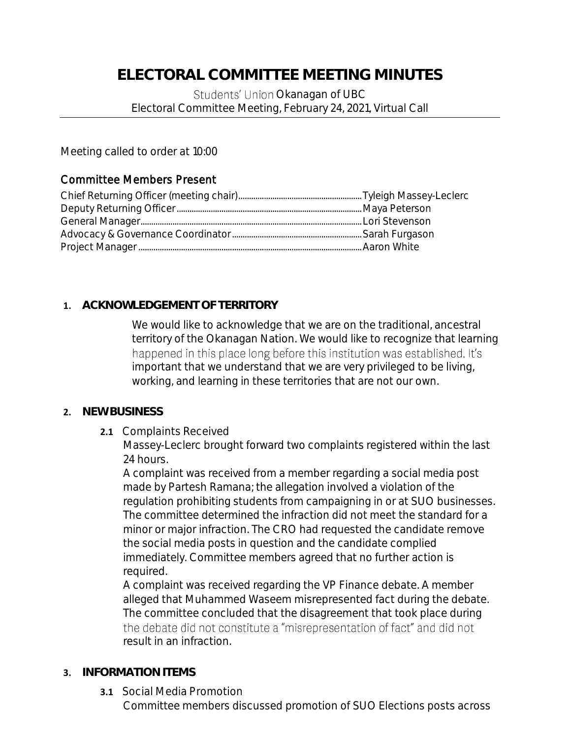Students' Union Okanagan of UBC Electoral Committee Meeting, February 24, 2021, Virtual Call

Meeting called to order at 10:00

# Committee Members Present

# **1. ACKNOWLEDGEMENT OF TERRITORY**

We would like to acknowledge that we are on the traditional, ancestral territory of the Okanagan Nation. We would like to recognize that learning happened in this place long before this institution was established. It's important that we understand that we are very privileged to be living, working, and learning in these territories that are not our own.

# **2. NEW BUSINESS**

**2.1** Complaints Received

Massey-Leclerc brought forward two complaints registered within the last 24 hours.

A complaint was received from a member regarding a social media post made by Partesh Ramana; the allegation involved a violation of the regulation prohibiting students from campaigning in or at SUO businesses. The committee determined the infraction did not meet the standard for a minor or major infraction. The CRO had requested the candidate remove the social media posts in question and the candidate complied immediately. Committee members agreed that no further action is required.

A complaint was received regarding the VP Finance debate. A member alleged that Muhammed Waseem misrepresented fact during the debate. The committee concluded that the disagreement that took place during the debate did not constitute a "misrepresentation of fact" and did not result in an infraction.

# **3. INFORMATION ITEMS**

**3.1** Social Media Promotion Committee members discussed promotion of SUO Elections posts across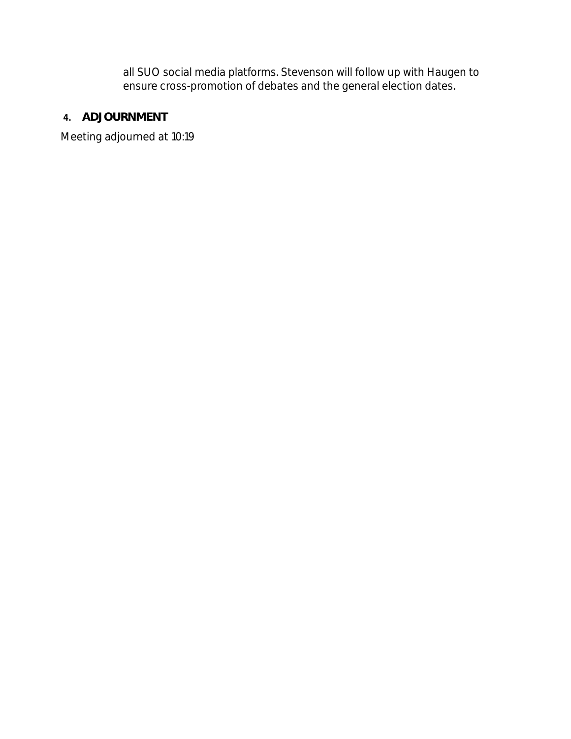all SUO social media platforms. Stevenson will follow up with Haugen to ensure cross-promotion of debates and the general election dates.

**4. ADJOURNMENT**

Meeting adjourned at 10:19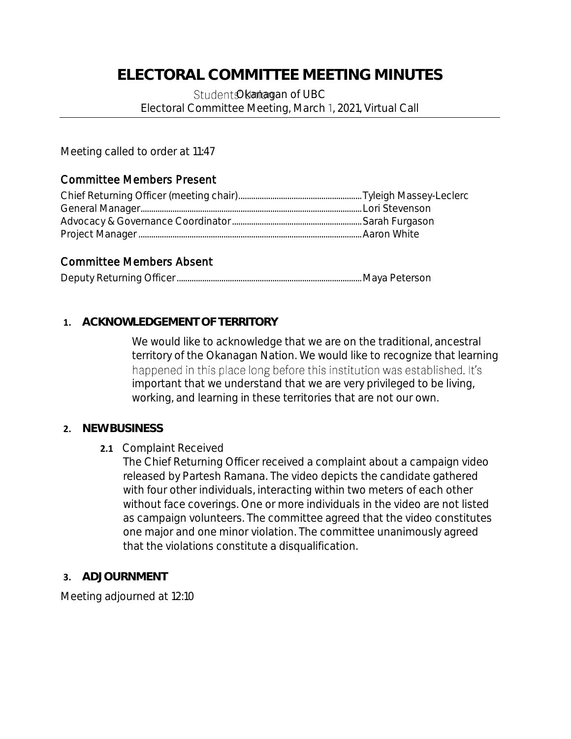Student Okamagan of UBC Electoral Committee Meeting, March 1, 2021, Virtual Call

Meeting called to order at 11:47

# Committee Members Present

## Committee Members Absent

|--|--|--|

## **1. ACKNOWLEDGEMENT OF TERRITORY**

We would like to acknowledge that we are on the traditional, ancestral territory of the Okanagan Nation. We would like to recognize that learning happened in this place long before this institution was established. It's important that we understand that we are very privileged to be living, working, and learning in these territories that are not our own.

### **2. NEW BUSINESS**

### **2.1** Complaint Received

The Chief Returning Officer received a complaint about a campaign video released by Partesh Ramana. The video depicts the candidate gathered with four other individuals, interacting within two meters of each other without face coverings. One or more individuals in the video are not listed as campaign volunteers. The committee agreed that the video constitutes one major and one minor violation. The committee unanimously agreed that the violations constitute a disqualification.

### **3. ADJOURNMENT**

Meeting adjourned at 12:10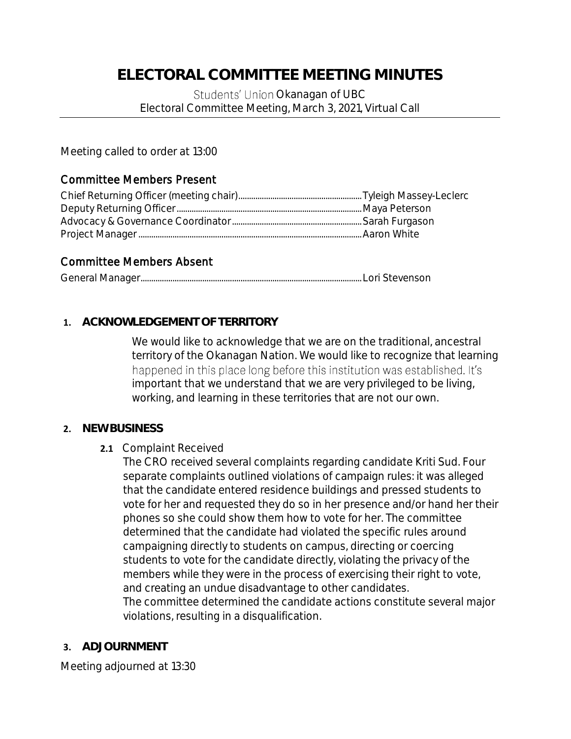Students' Union Okanagan of UBC Electoral Committee Meeting, March 3, 2021, Virtual Call

Meeting called to order at 13:00

### Committee Members Present

## Committee Members Absent

|--|--|

## **1. ACKNOWLEDGEMENT OF TERRITORY**

We would like to acknowledge that we are on the traditional, ancestral territory of the Okanagan Nation. We would like to recognize that learning happened in this place long before this institution was established. It's important that we understand that we are very privileged to be living, working, and learning in these territories that are not our own.

### **2. NEW BUSINESS**

### **2.1** Complaint Received

The CRO received several complaints regarding candidate Kriti Sud. Four separate complaints outlined violations of campaign rules: it was alleged that the candidate entered residence buildings and pressed students to vote for her and requested they do so in her presence and/or hand her their phones so she could show them how to vote for her. The committee determined that the candidate had violated the specific rules around campaigning directly to students on campus, directing or coercing students to vote for the candidate directly, violating the privacy of the members while they were in the process of exercising their right to vote, and creating an undue disadvantage to other candidates. The committee determined the candidate actions constitute several major violations, resulting in a disqualification.

### **3. ADJOURNMENT**

Meeting adjourned at 13:30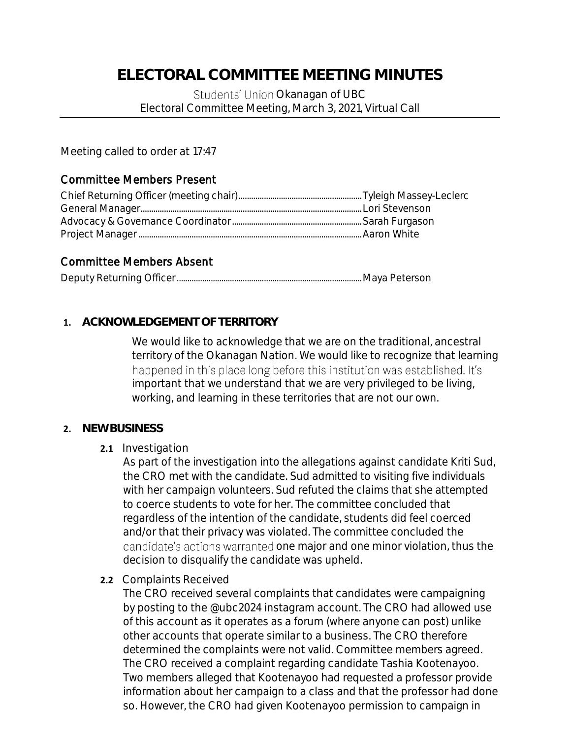Students' Union Okanagan of UBC Electoral Committee Meeting, March 3, 2021, Virtual Call

Meeting called to order at 17:47

## Committee Members Present

## Committee Members Absent

|--|--|--|

## **1. ACKNOWLEDGEMENT OF TERRITORY**

We would like to acknowledge that we are on the traditional, ancestral territory of the Okanagan Nation. We would like to recognize that learning happened in this place long before this institution was established. It's important that we understand that we are very privileged to be living, working, and learning in these territories that are not our own.

### **2. NEW BUSINESS**

### **2.1** Investigation

As part of the investigation into the allegations against candidate Kriti Sud, the CRO met with the candidate. Sud admitted to visiting five individuals with her campaign volunteers. Sud refuted the claims that she attempted to coerce students to vote for her. The committee concluded that regardless of the intention of the candidate, students did feel coerced and/or that their privacy was violated. The committee concluded the candidate's actions warranted one major and one minor violation, thus the decision to disqualify the candidate was upheld.

**2.2** Complaints Received

The CRO received several complaints that candidates were campaigning by posting to the @ubc2024 instagram account. The CRO had allowed use of this account as it operates as a forum (where anyone can post) unlike other accounts that operate similar to a business. The CRO therefore determined the complaints were not valid. Committee members agreed. The CRO received a complaint regarding candidate Tashia Kootenayoo. Two members alleged that Kootenayoo had requested a professor provide information about her campaign to a class and that the professor had done so. However, the CRO had given Kootenayoo permission to campaign in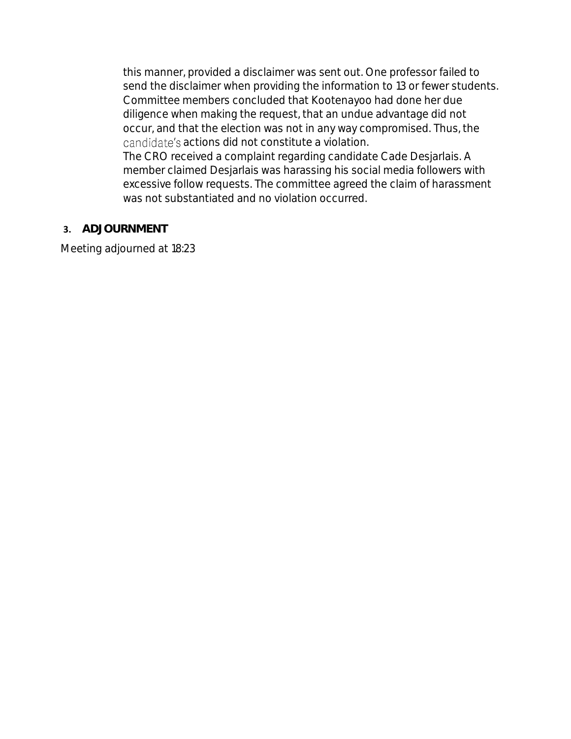this manner, provided a disclaimer was sent out. One professor failed to send the disclaimer when providing the information to 13 or fewer students. Committee members concluded that Kootenayoo had done her due diligence when making the request, that an undue advantage did not occur, and that the election was not in any way compromised. Thus, the candidate's actions did not constitute a violation.

The CRO received a complaint regarding candidate Cade Desjarlais. A member claimed Desjarlais was harassing his social media followers with excessive follow requests. The committee agreed the claim of harassment was not substantiated and no violation occurred.

### **3. ADJOURNMENT**

Meeting adjourned at 18:23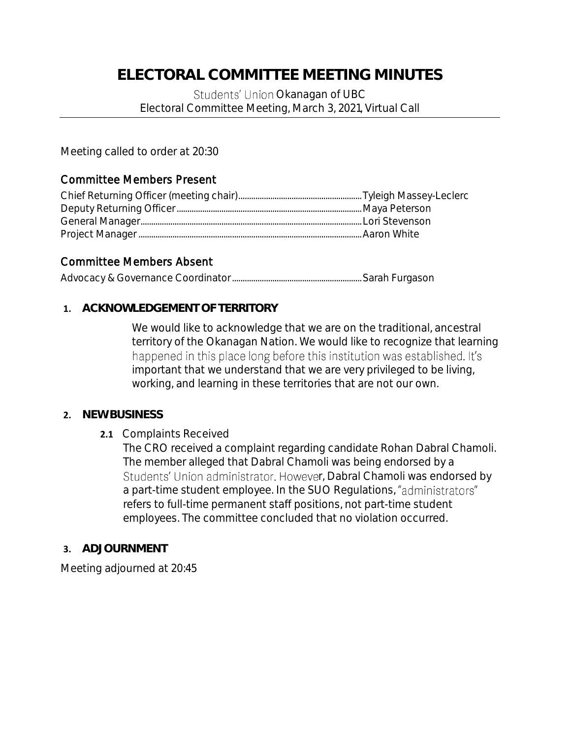Students' Union Okanagan of UBC Electoral Committee Meeting, March 3, 2021, Virtual Call

Meeting called to order at 20:30

## Committee Members Present

## Committee Members Absent

|--|--|--|

### **1. ACKNOWLEDGEMENT OF TERRITORY**

We would like to acknowledge that we are on the traditional, ancestral territory of the Okanagan Nation. We would like to recognize that learning happened in this place long before this institution was established. It's important that we understand that we are very privileged to be living, working, and learning in these territories that are not our own.

### **2. NEW BUSINESS**

### **2.1** Complaints Received

The CRO received a complaint regarding candidate Rohan Dabral Chamoli. The member alleged that Dabral Chamoli was being endorsed by a Students' Union administrator. However, Dabral Chamoli was endorsed by a part-time student employee. In the SUO Regulations, "administrators" refers to full-time permanent staff positions, not part-time student employees. The committee concluded that no violation occurred.

### **3. ADJOURNMENT**

Meeting adjourned at 20:45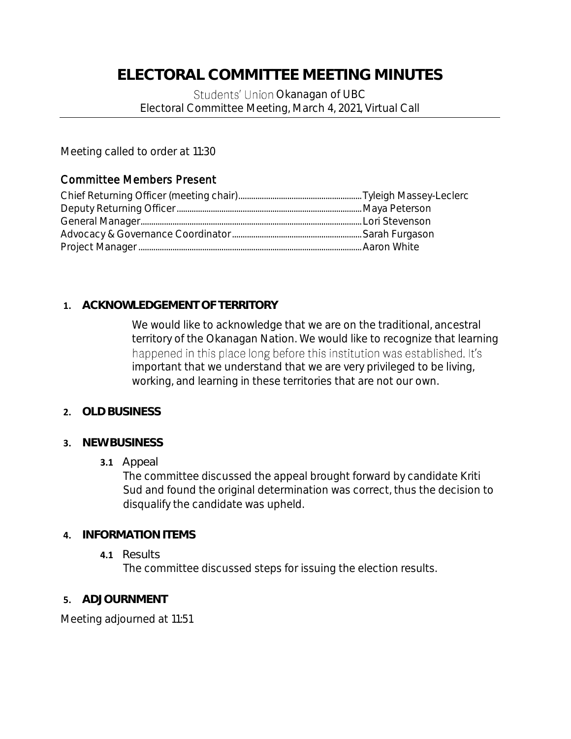Students' Union Okanagan of UBC Electoral Committee Meeting, March 4, 2021, Virtual Call

Meeting called to order at 11:30

## Committee Members Present

## **1. ACKNOWLEDGEMENT OF TERRITORY**

We would like to acknowledge that we are on the traditional, ancestral territory of the Okanagan Nation. We would like to recognize that learning happened in this place long before this institution was established. It's important that we understand that we are very privileged to be living, working, and learning in these territories that are not our own.

### **2. OLD BUSINESS**

### **3. NEW BUSINESS**

#### **3.1** Appeal

The committee discussed the appeal brought forward by candidate Kriti Sud and found the original determination was correct, thus the decision to disqualify the candidate was upheld.

### **4. INFORMATION ITEMS**

**4.1** Results

The committee discussed steps for issuing the election results.

### **5. ADJOURNMENT**

Meeting adjourned at 11:51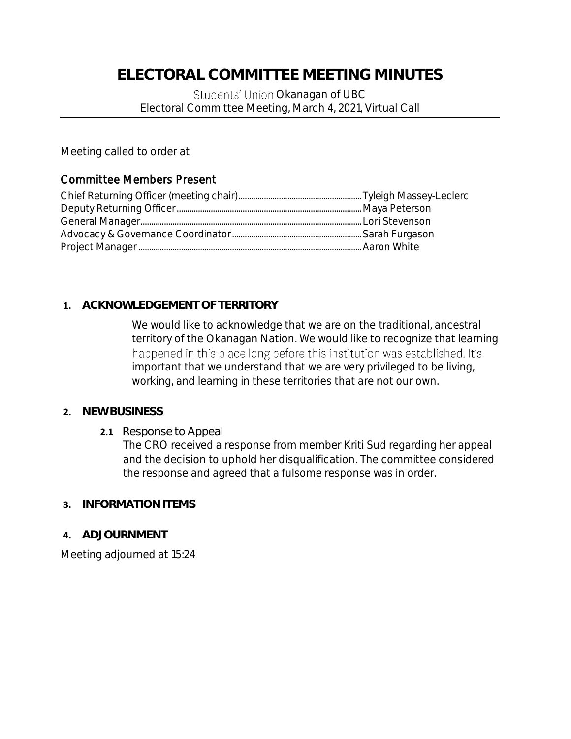Students' Union Okanagan of UBC Electoral Committee Meeting, March 4, 2021, Virtual Call

Meeting called to order at

# Committee Members Present

# **1. ACKNOWLEDGEMENT OF TERRITORY**

We would like to acknowledge that we are on the traditional, ancestral territory of the Okanagan Nation. We would like to recognize that learning happened in this place long before this institution was established. It's important that we understand that we are very privileged to be living, working, and learning in these territories that are not our own.

### **2. NEW BUSINESS**

**2.1** Response to Appeal

The CRO received a response from member Kriti Sud regarding her appeal and the decision to uphold her disqualification. The committee considered the response and agreed that a fulsome response was in order.

### **3. INFORMATION ITEMS**

**4. ADJOURNMENT**

Meeting adjourned at 15:24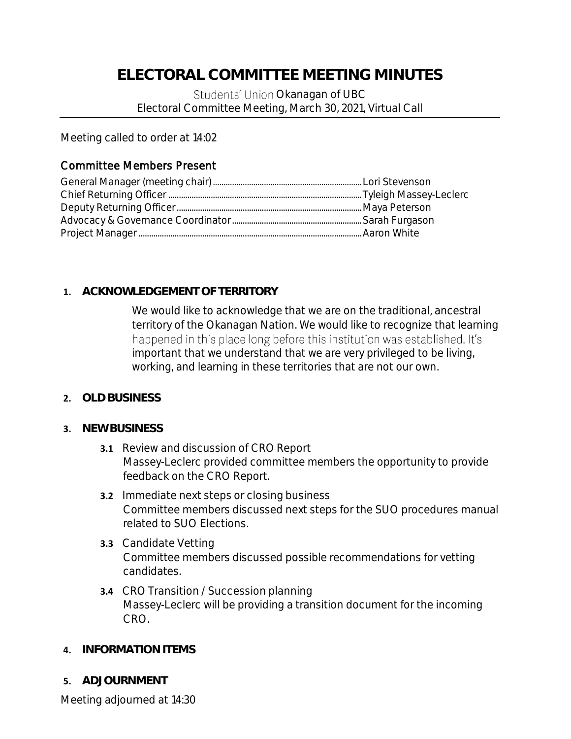Students' Union Okanagan of UBC Electoral Committee Meeting, March 30, 2021, Virtual Call

Meeting called to order at 14:02

# Committee Members Present

# **1. ACKNOWLEDGEMENT OF TERRITORY**

We would like to acknowledge that we are on the traditional, ancestral territory of the Okanagan Nation. We would like to recognize that learning happened in this place long before this institution was established. It's important that we understand that we are very privileged to be living, working, and learning in these territories that are not our own.

### **2. OLD BUSINESS**

### **3. NEW BUSINESS**

- **3.1** Review and discussion of CRO Report Massey-Leclerc provided committee members the opportunity to provide feedback on the CRO Report.
- **3.2** Immediate next steps or closing business Committee members discussed next steps for the SUO procedures manual related to SUO Elections.
- **3.3** Candidate Vetting Committee members discussed possible recommendations for vetting candidates.
- **3.4** CRO Transition / Succession planning Massey-Leclerc will be providing a transition document for the incoming CRO.
- **4. INFORMATION ITEMS**
- **5. ADJOURNMENT**

Meeting adjourned at 14:30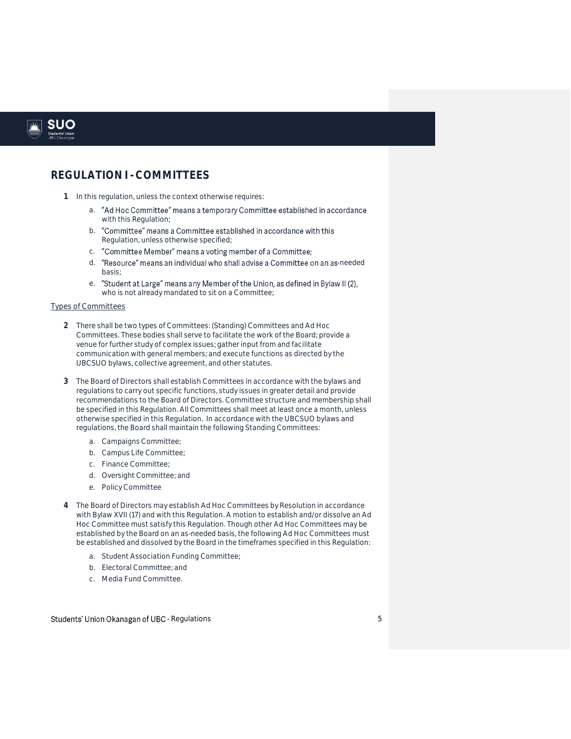

#### **REGULATION I -COMMITTEES**

- **1** In this regulation, unless the context otherwise requires:
	- a. "Ad Hoc Committee" means a temporary Committee established in accordance with this Regulation;
	- b. "Committee" means a Committee established in accordance with this Regulation, unless otherwise specified;
	- "Committee Member" means a voting member of a Committee; c.
	- d. "Resource" means an individual who shall advise a Committee on an as-needed basis;
	- "Student at Large" means any Member of the Union, as defined in Bylaw II (2), e. who is not already mandated to sit on a Committee;

#### Types of Committees

- **2** There shall be two types of Committees: (Standing) Committees and Ad Hoc Committees. These bodies shall serve to facilitate the work of the Board; provide a venue for further study of complex issues; gather input from and facilitate communication with general members; and execute functions as directed by the UBCSUO bylaws, collective agreement, and other statutes.
- **3** The Board of Directors shall establish Committees in accordance with the bylaws and regulations to carry out specific functions, study issues in greater detail and provide recommendations to the Board of Directors. Committee structure and membership shall be specified in this Regulation. All Committees shall meet at least once a month, unless otherwise specified in this Regulation. In accordance with the UBCSUO bylaws and regulations, the Board shall maintain the following Standing Committees:
	- a. Campaigns Committee;
	- b. Campus Life Committee;
	- c. Finance Committee;
	- d. Oversight Committee; and
	- e. Policy Committee
- **4** The Board of Directors may establish Ad Hoc Committees by Resolution in accordance with Bylaw XVII (17) and with this Regulation. A motion to establish and/or dissolve an Ad Hoc Committee must satisfy this Regulation. Though other Ad Hoc Committees may be established by the Board on an as-needed basis, the following Ad Hoc Committees must be established and dissolved by the Board in the timeframes specified in this Regulation:
	- a. Student Association Funding Committee;
	- b. Electoral Committee; and
	- c. Media Fund Committee.

#### Students' Union Okanagan of UBC - Regulations and the control of the students' to the students of the students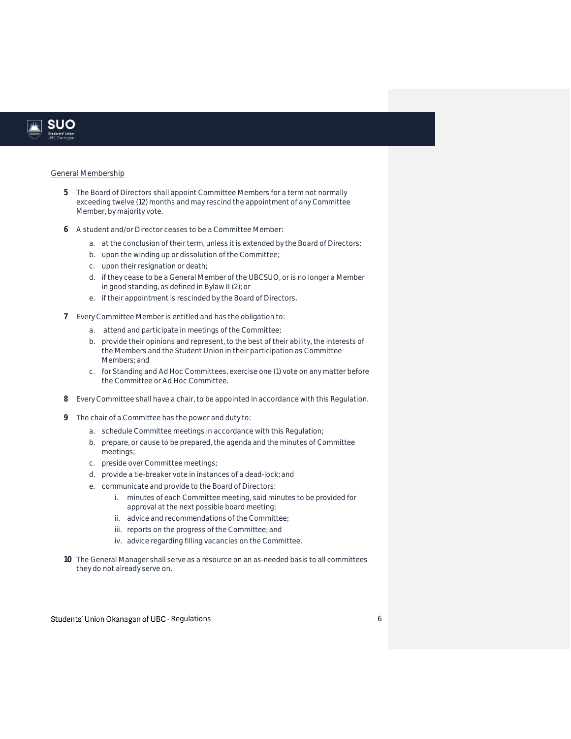

#### General Membership

- **5** The Board of Directors shall appoint Committee Members for a term not normally exceeding twelve (12) months and may rescind the appointment of any Committee Member, by majority vote.
- **6** A student and/or Director ceases to be a Committee Member:
	- a. at the conclusion of their term, unless it is extended by the Board of Directors;
	- b. upon the winding up or dissolution of the Committee;
	- c. upon their resignation or death;
	- d. if they cease to be a General Member of the UBCSUO, or is no longer a Member in good standing, as defined in Bylaw II (2); or
	- e. if their appointment is rescinded by the Board of Directors.
- **7** Every Committee Member is entitled and has the obligation to:
	- a. attend and participate in meetings of the Committee;
	- b. provide their opinions and represent, to the best of their ability, the interests of the Members and the Student Union in their participation as Committee Members; and
	- c. for Standing and Ad Hoc Committees, exercise one (1) vote on any matter before the Committee or Ad Hoc Committee.
- **8** Every Committee shall have a chair, to be appointed in accordance with this Regulation.
- **9** The chair of a Committee has the power and duty to:
	- a. schedule Committee meetings in accordance with this Regulation;
	- b. prepare, or cause to be prepared, the agenda and the minutes of Committee meetings;
	- c. preside over Committee meetings;
	- d. provide a tie-breaker vote in instances of a dead-lock; and
	- e. communicate and provide to the Board of Directors:
		- i. minutes of each Committee meeting, said minutes to be provided for approval at the next possible board meeting;
		- ii. advice and recommendations of the Committee;
		- iii. reports on the progress of the Committee; and
		- iv. advice regarding filling vacancies on the Committee.
- **10** The General Manager shall serve as a resource on an as-needed basis to all committees they do not already serve on.

Students' Union Okanagan of UBC - Regulations and the control of the control of the control of the control of the control of the control of the control of the control of the control of the control of the control of the con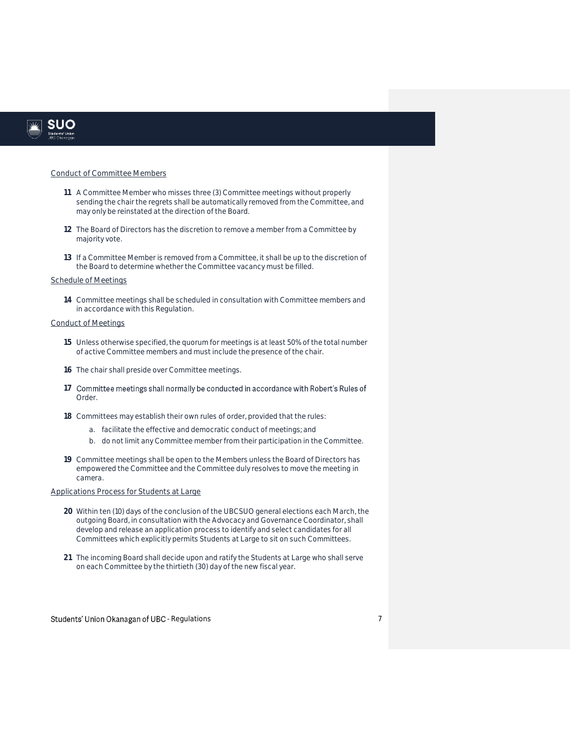

#### Conduct of Committee Members

- **11** A Committee Member who misses three (3) Committee meetings without properly sending the chair the regrets shall be automatically removed from the Committee, and may only be reinstated at the direction of the Board.
- **12** The Board of Directors has the discretion to remove a member from a Committee by majority vote.
- **13** If a Committee Member is removed from a Committee, it shall be up to the discretion of the Board to determine whether the Committee vacancy must be filled.

#### Schedule of Meetings

**14** Committee meetings shall be scheduled in consultation with Committee members and in accordance with this Regulation.

#### Conduct of Meetings

- **15** Unless otherwise specified, the quorum for meetings is at least 50% of the total number of active Committee members and must include the presence of the chair.
- **16** The chair shall preside over Committee meetings.
- 17 Committee meetings shall normally be conducted in accordance with Robert's Rules of Order.
- **18** Committees may establish their own rules of order, provided that the rules:
	- a. facilitate the effective and democratic conduct of meetings; and
	- b. do not limit any Committee member from their participation in the Committee.
- **19** Committee meetings shall be open to the Members unless the Board of Directors has empowered the Committee and the Committee duly resolves to move the meeting *in camera*.

#### Applications Process for Students at Large

- **20** Within ten (10) days of the conclusion of the UBCSUO general elections each March, the outgoing Board, in consultation with the Advocacy and Governance Coordinator, shall develop and release an application process to identify and select candidates for all Committees which explicitly permits Students at Large to sit on such Committees.
- **21** The incoming Board shall decide upon and ratify the Students at Large who shall serve on each Committee by the thirtieth (30) day of the new fiscal year.

#### Students' Union Okanagan of UBC - Regulations and the control of the control of the control of the control of the control of the control of the control of the control of the control of the control of the control of the con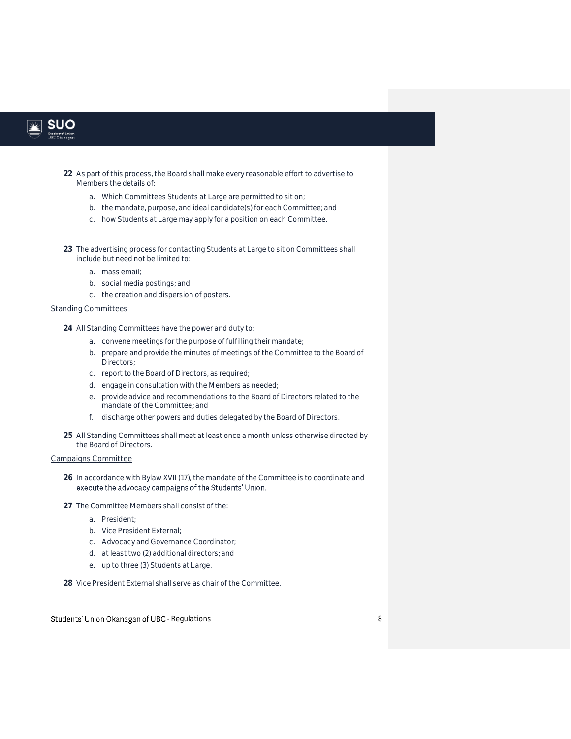

- **22** As part of this process, the Board shall make every reasonable effort to advertise to Members the details of:
	- a. Which Committees Students at Large are permitted to sit on;
	- b. the mandate, purpose, and ideal candidate(s) for each Committee; and
	- c. how Students at Large may apply for a position on each Committee.
- **23** The advertising process for contacting Students at Large to sit on Committees shall include but need not be limited to:
	- a. mass email;
	- b. social media postings; and
	- c. the creation and dispersion of posters.

#### **Standing Committees**

**24** All Standing Committees have the power and duty to:

- a. convene meetings for the purpose of fulfilling their mandate;
- b. prepare and provide the minutes of meetings of the Committee to the Board of Directors;
- c. report to the Board of Directors, as required;
- d. engage in consultation with the Members as needed;
- e. provide advice and recommendations to the Board of Directors related to the mandate of the Committee; and
- f. discharge other powers and duties delegated by the Board of Directors.
- **25** All Standing Committees shall meet at least once a month unless otherwise directed by the Board of Directors.

#### Campaigns Committee

- **26** In accordance with Bylaw XVII (17), the mandate of the Committee is to coordinate and execute the advocacy campaigns of the Students' Union.
- **27** The Committee Members shall consist of the:
	- a. President;
	- b. Vice President External;
	- c. Advocacy and Governance Coordinator;
	- d. at least two (2) additional directors; and
	- e. up to three (3) Students at Large.

**28** Vice President External shall serve as chair of the Committee.

#### Students' Union Okanagan of UBC - Regulations and a students' Union Okanagan of UBC - Regulations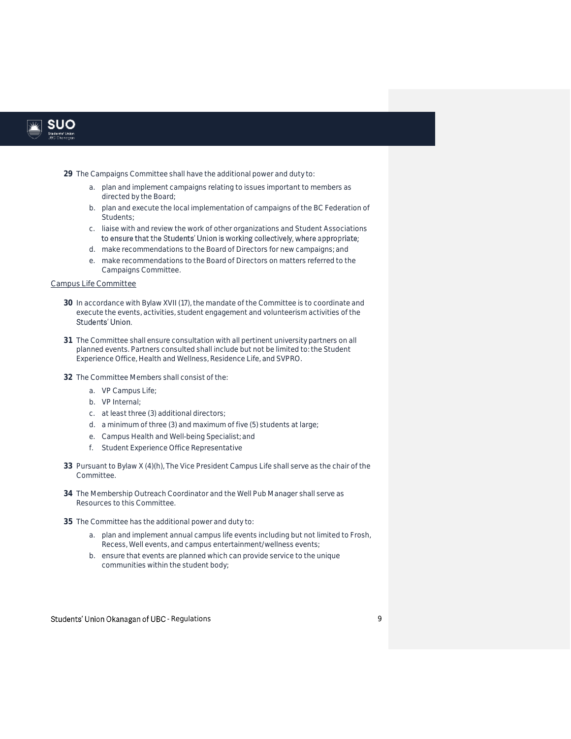

- **29** The Campaigns Committee shall have the additional power and duty to:
	- a. plan and implement campaigns relating to issues important to members as directed by the Board;
	- b. plan and execute the local implementation of campaigns of the BC Federation of Students;
	- c. liaise with and review the work of other organizations and Student Associations
	- d. make recommendations to the Board of Directors for new campaigns; and
	- e. make recommendations to the Board of Directors on matters referred to the Campaigns Committee.

#### Campus Life Committee

- **30** In accordance with Bylaw XVII (17), the mandate of the Committee is to coordinate and execute the events, activities, student engagement and volunteerism activities of the Students' Union.
- **31** The Committee shall ensure consultation with all pertinent university partners on all planned events. Partners consulted shall include but not be limited to: the Student Experience Office, Health and Wellness, Residence Life, and SVPRO.
- **32** The Committee Members shall consist of the:
	- a. VP Campus Life;
	- b. VP Internal;
	- c. at least three (3) additional directors;
	- d. a minimum of three (3) and maximum of five (5) students at large;
	- e. Campus Health and Well-being Specialist; and
	- f. Student Experience Office Representative
- **33** Pursuant to Bylaw X (4)(h), The Vice President Campus Life shall serve as the chair of the Committee.
- **34** The Membership Outreach Coordinator and the Well Pub Manager shall serve as Resources to this Committee.
- **35** The Committee has the additional power and duty to:
	- a. plan and implement annual campus life events including but not limited to Frosh, Recess, Well events, and campus entertainment/wellness events;
	- b. ensure that events are planned which can provide service to the unique communities within the student body;

Students' Union Okanagan of UBC - Regulations and the control of the control of the control of the control of the control of the control of the control of the control of the control of the control of the control of the con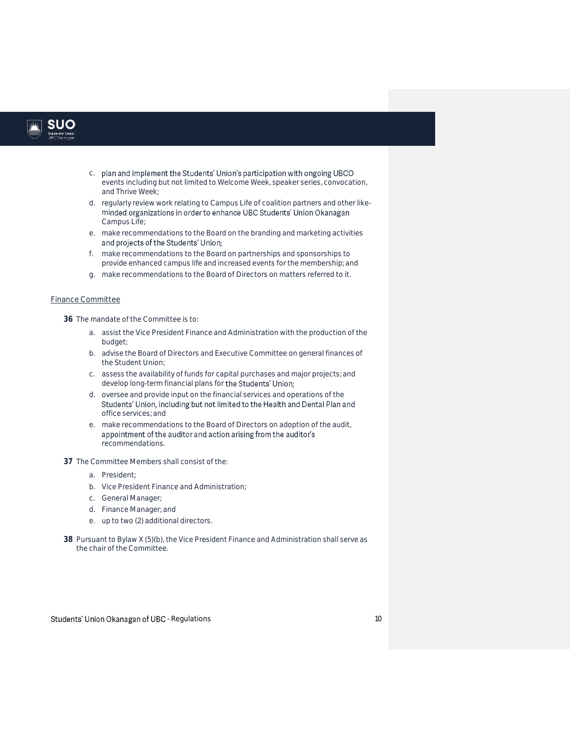

- c. plan and implement the Students' Union's participation with ongoing UBCO events including but not limited to Welcome Week, speaker series, convocation, and Thrive Week;
- d. regularly review work relating to Campus Life of coalition partners and other likeminded organizations in order to enhance UBC Students' Union Okanagan Campus Life;
- e. make recommendations to the Board on the branding and marketing activities
- f. make recommendations to the Board on partnerships and sponsorships to provide enhanced campus life and increased events for the membership; and
- g. make recommendations to the Board of Directors on matters referred to it.

#### Finance Committee

**36** The mandate of the Committee is to:

- a. assist the Vice President Finance and Administration with the production of the budget;
- b. advise the Board of Directors and Executive Committee on general finances of the Student Union;
- c. assess the availability of funds for capital purchases and major projects; and develop long-term financial plans for the Students' Union;
- d. oversee and provide input on the financial services and operations of the Students' Union, including but not limited to the Health and Dental Plan and office services; and
- e. make recommendations to the Board of Directors on adoption of the audit, appointment of the auditor and action arising from the auditor's recommendations.
- **37** The Committee Members shall consist of the:
	- a. President;
	- b. Vice President Finance and Administration;
	- c. General Manager;
	- d. Finance Manager; and
	- e. up to two (2) additional directors.
- **38** Pursuant to Bylaw X (5)(b), the Vice President Finance and Administration shall serve as the chair of the Committee.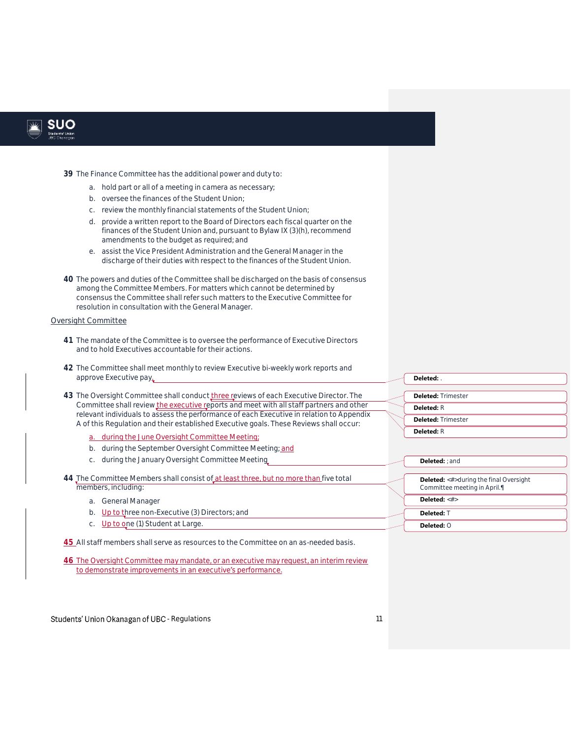

- **39** The Finance Committee has the additional power and duty to:
	- a. hold part or all of a meeting *in camera* as necessary;
	- b. oversee the finances of the Student Union;
	- c. review the monthly financial statements of the Student Union;
	- d. provide a written report to the Board of Directors each fiscal quarter on the finances of the Student Union and, pursuant to Bylaw IX (3)(h), recommend amendments to the budget as required; and
	- e. assist the Vice President Administration and the General Manager in the discharge of their duties with respect to the finances of the Student Union.
- **40** The powers and duties of the Committee shall be discharged on the basis of consensus among the Committee Members. For matters which cannot be determined by consensus the Committee shall refer such matters to the Executive Committee for resolution in consultation with the General Manager.

#### Oversight Committee

- **41** The mandate of the Committee is to oversee the performance of Executive Directors and to hold Executives accountable for their actions.
- **42** The Committee shall meet monthly to review Executive bi-weekly work reports and approve Executive pay.
- 43 The Oversight Committee shall conduct three reviews of each Executive Director. The Committee shall review the executive reports and meet with all staff partners and other relevant individuals to assess the performance of each Executive in relation to Appendix A of this Regulation and their established Executive goals. These Reviews shall occur:
	- a. during the June Oversight Committee Meeting;
	- b. during the September Oversight Committee Meeting; and
	- c. during the January Oversight Committee Meeting
- **44** The Committee Members shall consist of at least three, but no more than five total members, including:
	- a. General Manager
	- b. Up to three non-Executive (3) Directors; and
	- c. Up to one (1) Student at Large.

**45** All staff members shall serve as resources to the Committee on an as-needed basis.

**46** The Oversight Committee may mandate, or an executive may request, an interim review to demonstrate improvements in an executive's performance.

Students' Union Okanagan of UBC - Regulations and the control of the control of the control of the control of the control of the control of the control of the control of the control of the control of the control of the con

| Deleted:                  |                                               |
|---------------------------|-----------------------------------------------|
|                           |                                               |
| <b>Deleted: Trimester</b> |                                               |
| <b>Deleted:</b> $R$       |                                               |
| <b>Deleted: Trimester</b> |                                               |
| Deleted: $R$              |                                               |
| <b>Deleted:</b> : and     |                                               |
|                           |                                               |
|                           | <b>Deleted:</b> <#>during the final Oversight |
|                           | Committee meeting in April.                   |
| Deleted: <#>              |                                               |
| Deleted∙ ⊺                |                                               |

**Deleted:** O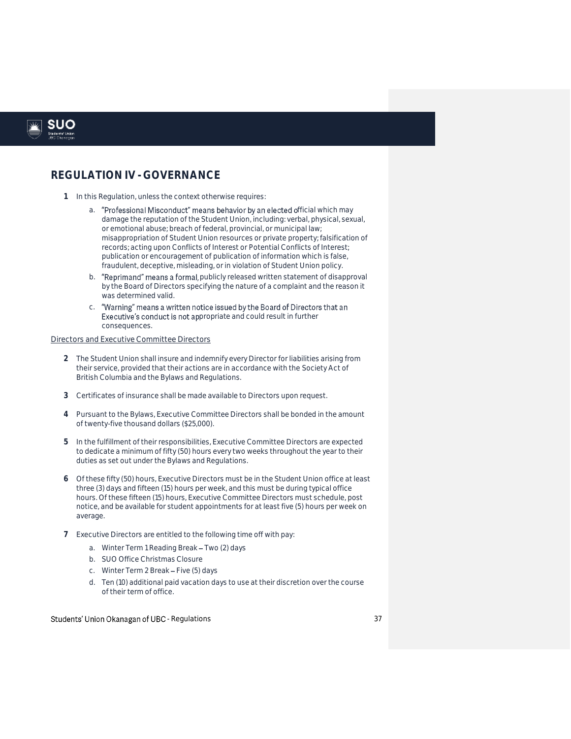

#### **REGULATION IV - GOVERNANCE**

- **1** In this Regulation, unless the context otherwise requires:
	- a. "Professional Misconduct" means behavior by an elected official which may damage the reputation of the Student Union, including: verbal, physical, sexual, or emotional abuse; breach of federal, provincial, or municipal law; misappropriation of Student Union resources or private property; falsification of records; acting upon Conflicts of Interest or Potential Conflicts of Interest; publication or encouragement of publication of information which is false, fraudulent, deceptive, misleading, or in violation of Student Union policy.
	- b. "Reprimand" means a formal, publicly released written statement of disapproval by the Board of Directors specifying the nature of a complaint and the reason it was determined valid.
	- c. "Warning" means a written notice issued by the Board of Directors that an Executive's conduct is not appropriate and could result in further consequences.

#### Directors and Executive Committee Directors

- **2** The Student Union shall insure and indemnify every Director for liabilities arising from their service, provided that their actions are in accordance with the Society Act of British Columbia and the Bylaws and Regulations.
- **3** Certificates of insurance shall be made available to Directors upon request.
- **4** Pursuant to the Bylaws, Executive Committee Directors shall be bonded in the amount of twenty-five thousand dollars (\$25,000).
- **5** In the fulfillment of their responsibilities, Executive Committee Directors are expected to dedicate a minimum of fifty (50) hours every two weeks throughout the year to their duties as set out under the Bylaws and Regulations.
- **6** Of these fifty (50) hours, Executive Directors must be in the Student Union office at least three (3) days and fifteen (15) hours per week, and this must be during typical office hours. Of these fifteen (15) hours, Executive Committee Directors must schedule, post notice, and be available for student appointments for at least five (5) hours per week on average.
- **7** Executive Directors are entitled to the following time off with pay:
	- a. Winter Term 1 Reading Break Two (2) days
	- b. SUO Office Christmas Closure
	- c. Winter Term 2 Break Five (5) days
	- d. Ten (10) additional paid vacation days to use at their discretion over the course of their term of office.

#### Students' Union Okanagan of UBC - Regulations and the students' students' students of  $37$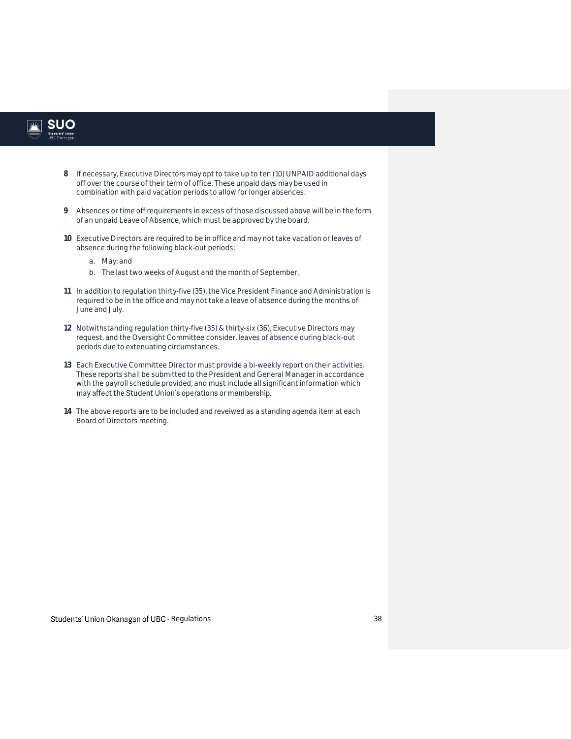

- **8** If necessary, Executive Directors may opt to take up to ten (10) UNPAID additional days off over the course of their term of office. These unpaid days may be used in combination with paid vacation periods to allow for longer absences.
- **9** Absences or time off requirements in excess of those discussed above will be in the form of an unpaid Leave of Absence, which must be approved by the board.
- **10** Executive Directors are required to be in office and may not take vacation or leaves of absence during the following black-out periods:
	- a. May; and
	- b. The last two weeks of August and the month of September.
- **11** In addition to regulation thirty-five (35), the Vice President Finance and Administration is required to be in the office and may not take a leave of absence during the months of June and July.
- **12** Notwithstanding regulation thirty-five (35) & thirty-six (36), Executive Directors may request, and the Oversight Committee consider, leaves of absence during black-out periods due to extenuating circumstances.
- **13** Each Executive Committee Director must provide a bi-weekly report on their activities. These reports shall be submitted to the President and General Manager in accordance with the payroll schedule provided, and must include all significant information which may affect the Student Union's operations or membership.
- **14** The above reports are to be included and reveiwed as a standing agenda item at each Board of Directors meeting.

Students' Union Okanagan of UBC - Regulations and the control of the students' students' 38